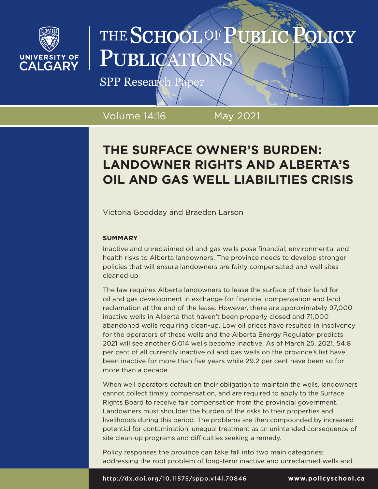

# THE SCHOOL OF PUBLIC **OLICY** PUBLICATI

SPP Research Paper

Volume 14:16 May 2021

# **THE SURFACE OWNER'S BURDEN: LANDOWNER RIGHTS AND ALBERTA'S OIL AND GAS WELL LIABILITIES CRISIS**

Victoria Goodday and Braeden Larson

## **SUMMARY**

Inactive and unreclaimed oil and gas wells pose financial, environmental and health risks to Alberta landowners. The province needs to develop stronger policies that will ensure landowners are fairly compensated and well sites cleaned up.

The law requires Alberta landowners to lease the surface of their land for oil and gas development in exchange for financial compensation and land reclamation at the end of the lease. However, there are approximately 97,000 inactive wells in Alberta that haven't been properly closed and 71,000 abandoned wells requiring clean-up. Low oil prices have resulted in insolvency for the operators of these wells and the Alberta Energy Regulator predicts 2021 will see another 6,014 wells become inactive. As of March 25, 2021, 54.8 per cent of all currently inactive oil and gas wells on the province's list have been inactive for more than five years while 29.2 per cent have been so for more than a decade.

When well operators default on their obligation to maintain the wells, landowners cannot collect timely compensation, and are required to apply to the Surface Rights Board to receive fair compensation from the provincial government. Landowners must shoulder the burden of the risks to their properties and livelihoods during this period. The problems are then compounded by increased potential for contamination, unequal treatment as an unintended consequence of site clean-up programs and difficulties seeking a remedy.

Policy responses the province can take fall into two main categories: addressing the root problem of long-term inactive and unreclaimed wells and

http://dx.doi.org/10.11575/sppp.v14i.70846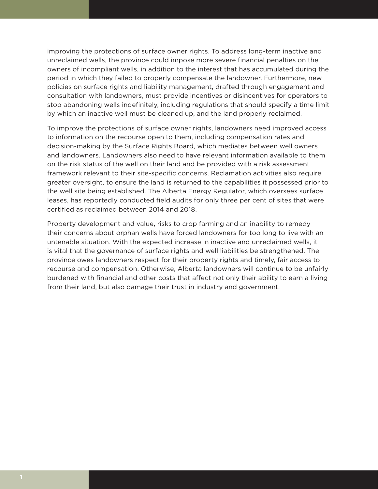improving the protections of surface owner rights. To address long-term inactive and unreclaimed wells, the province could impose more severe financial penalties on the owners of incompliant wells, in addition to the interest that has accumulated during the period in which they failed to properly compensate the landowner. Furthermore, new policies on surface rights and liability management, drafted through engagement and consultation with landowners, must provide incentives or disincentives for operators to stop abandoning wells indefinitely, including regulations that should specify a time limit by which an inactive well must be cleaned up, and the land properly reclaimed.

To improve the protections of surface owner rights, landowners need improved access to information on the recourse open to them, including compensation rates and decision-making by the Surface Rights Board, which mediates between well owners and landowners. Landowners also need to have relevant information available to them on the risk status of the well on their land and be provided with a risk assessment framework relevant to their site-specific concerns. Reclamation activities also require greater oversight, to ensure the land is returned to the capabilities it possessed prior to the well site being established. The Alberta Energy Regulator, which oversees surface leases, has reportedly conducted field audits for only three per cent of sites that were certified as reclaimed between 2014 and 2018.

Property development and value, risks to crop farming and an inability to remedy their concerns about orphan wells have forced landowners for too long to live with an untenable situation. With the expected increase in inactive and unreclaimed wells, it is vital that the governance of surface rights and well liabilities be strengthened. The province owes landowners respect for their property rights and timely, fair access to recourse and compensation. Otherwise, Alberta landowners will continue to be unfairly burdened with financial and other costs that affect not only their ability to earn a living from their land, but also damage their trust in industry and government.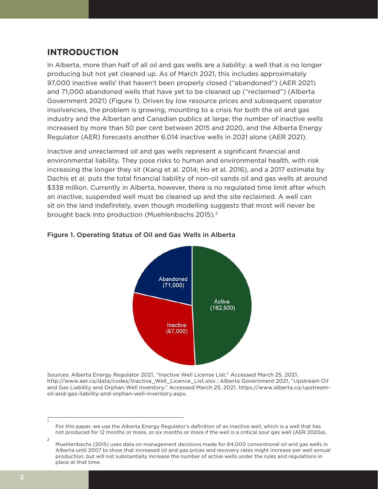# **INTRODUCTION**

In Alberta, more than half of all oil and gas wells are a liability: a well that is no longer producing but not yet cleaned up. As of March 2021, this includes approximately 97,000 inactive wells<sup>1</sup> that haven't been properly closed ("abandoned") (AER [2021](http://www.aer.ca/data/codes/Inactive_Well_Licence_List.xlsx)) and 71,000 abandoned wells that have yet to be cleaned up ("reclaimed") [\(Alberta](https://www.alberta.ca/upstream-oil-and-gas-liability-and-orphan-well-inventory.aspx)  [Government 2021\)](https://www.alberta.ca/upstream-oil-and-gas-liability-and-orphan-well-inventory.aspx) (Figure 1). Driven by low resource prices and subsequent operator insolvencies, the problem is growing, mounting to a crisis for both the oil and gas industry and the Albertan and Canadian publics at large: the number of inactive wells increased by more than 50 per cent between 2015 and 2020, and the Alberta Energy Regulator (AER) forecasts another 6,014 inactive wells in 2021 alone (AER [2021](http://www.aer.ca/data/codes/Inactive_Well_Licence_List.xlsx)).

Inactive and unreclaimed oil and gas wells represent a significant financial and environmental liability. They pose risks to human and environmental health, with risk increasing the longer they sit ([Kang et al. 2014](https://www.pnas.org/content/pnas/111/51/18173.full.pdf); [Ho et al. 2016\)](https://www.rff.org/documents/536/RFF-Rpt-PluggingInactiveWells.pdf), and a 2017 estimate by [Dachis et al.](https://www.cdhowe.org/public-policy-research/all%E2%80%99s-well-ends-well-addressing-end-life-liabilities-oil-and-gas-wells) puts the total financial liability of non-oil sands oil and gas wells at around \$338 million. Currently in Alberta, however, there is no regulated time limit after which an inactive, suspended well must be cleaned up and the site reclaimed. A well can sit on the land indefinitely, even though modelling suggests that most will never be brought back into production [\(Muehlenbachs 2015](https://doi.org/10.1111/iere.12098)).<sup>2</sup>



### Figure 1. Operating Status of Oil and Gas Wells in Alberta

Sources: Alberta Energy Regulator 2021, "Inactive Well License List." Accessed March 25, 2021. http://www.aer.ca/data/codes/Inactive\_Well\_Licence\_List.xlsx ; Alberta Government 2021, "Upstream Oil and Gas Liability and Orphan Well Inventory." Accessed March 25, 2021. https://www.alberta.ca/upstreamoil-and-gas-liability-and-orphan-well-inventory.aspx.

*<sup>1</sup>* For this paper, we use the Alberta Energy Regulator's definition of an inactive well, which is a well that has not produced for 12 months or more, or six months or more if the well is a critical sour gas well (AER 2020a).

*<sup>2</sup>* Muehlenbachs (2015) uses data on management decisions made for 84,000 conventional oil and gas wells in Alberta until 2007 to show that increased oil and gas prices and recovery rates might increase per well annual production, but will not substantially increase the number of active wells under the rules and regulations in place at that time.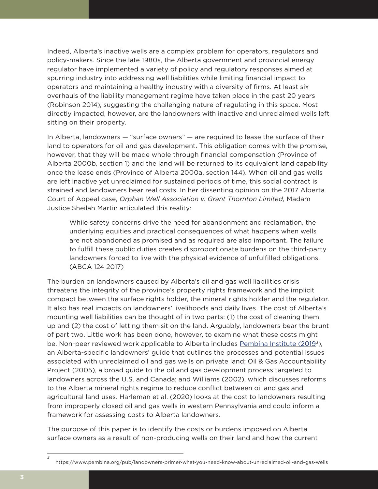Indeed, Alberta's inactive wells are a complex problem for operators, regulators and policy-makers. Since the late 1980s, the Alberta government and provincial energy regulator have implemented a variety of policy and regulatory responses aimed at spurring industry into addressing well liabilities while limiting financial impact to operators and maintaining a healthy industry with a diversity of firms. At least six overhauls of the liability management regime have taken place in the past 20 years [\(Robinson 2014\)](https://ecojustice.ca/wp-content/uploads/2014/12/IWCP-Paper-FINAL-20-Nov-2014.pdf), suggesting the challenging nature of regulating in this space. Most directly impacted, however, are the landowners with inactive and unreclaimed wells left sitting on their property.

In Alberta, landowners — "surface owners" — are required to lease the surface of their land to operators for oil and gas development. This obligation comes with the promise, however, that they will be made whole through financial compensation (Province of Alberta [2000](http://www.qp.alberta.ca/documents/acts/e12.pdf)b, section 1) and the land will be returned to its equivalent land capability once the lease ends (Province of Alberta 2000a, section 144). When oil and gas wells are left inactive yet unreclaimed for sustained periods of time, this social contract is strained and landowners bear real costs. In her dissenting opinion on the 2017 Alberta Court of Appeal case, *Orphan Well Association v. Grant Thornton Limited,* Madam Justice Sheilah Martin articulated this reality:

While safety concerns drive the need for abandonment and reclamation, the underlying equities and practical consequences of what happens when wells are not abandoned as promised and as required are also important. The failure to fulfill these public duties creates disproportionate burdens on the third-party landowners forced to live with the physical evidence of unfulfilled obligations. (ABCA 124 2017)

The burden on landowners caused by Alberta's oil and gas well liabilities crisis threatens the integrity of the province's property rights framework and the implicit compact between the surface rights holder, the mineral rights holder and the regulator. It also has real impacts on landowners' livelihoods and daily lives. The cost of Alberta's mounting well liabilities can be thought of in two parts: (1) the cost of cleaning them up and (2) the cost of letting them sit on the land. Arguably, landowners bear the brunt of part two. Little work has been done, however, to examine what these costs might be. Non-peer reviewed work applicable to Alberta includes [Pembina Institute \(20193](https://www.pembina.org/pub/landowners-primer-what-you-need-know-about-unreclaimed-oil-and-gas-wells)), an Alberta-specific landowners' guide that outlines the processes and potential issues associated with unreclaimed oil and gas wells on private land; [Oil & Gas Accountability](http://municipalcapacity.ca/+pub/document/resource-materials/landownerguideoilgasdev.pdf)  [Project \(2005\),](http://municipalcapacity.ca/+pub/document/resource-materials/landownerguideoilgasdev.pdf) a broad guide to the oil and gas development process targeted to landowners across the U.S. and Canada; and [Williams \(2002\),](https://elc.ab.ca/Content_Files/Files/NewsBriefs/ConflictBetweenOiL-V17-2.pdf) which discusses reforms to the Alberta mineral rights regime to reduce conflict between oil and gas and agricultural land uses. Harleman et al. (2020) looks at the cost to landowners resulting from improperly closed oil and gas wells in western Pennsylvania and could inform a framework for assessing costs to Alberta landowners.

The purpose of this paper is to identify the costs or burdens imposed on Alberta surface owners as a result of non-producing wells on their land and how the current

https://www.pembina.org/pub/landowners-primer-what-you-need-know-about-unreclaimed-oil-and-gas-wells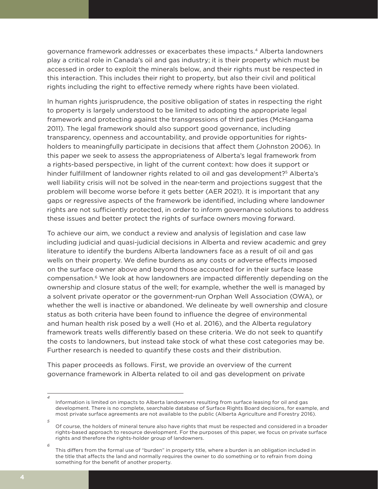governance framework addresses or exacerbates these impacts.4 Alberta landowners play a critical role in Canada's oil and gas industry; it is their property which must be accessed in order to exploit the minerals below, and their rights must be respected in this interaction. This includes their right to property, but also their civil and political rights including the right to effective remedy where rights have been violated.

In human rights jurisprudence, the positive obligation of states in respecting the right to property is largely understood to be limited to adopting the appropriate legal framework and protecting against the transgressions of third parties ([McHangama](https://www.cato.org/policy-report/mayjune-2011/right-property-global-human-rights-law)  [2011\)](https://www.cato.org/policy-report/mayjune-2011/right-property-global-human-rights-law). The legal framework should also support good governance, including transparency, openness and accountability, and provide opportunities for rightsholders to meaningfully participate in decisions that affect them [\(Johnston 2006](https://www.researchgate.net/profile/Michael_Johnston26/publication/267974525_Good_Governance_Rule_of_Law_Transparency_and_Accountability/links/570d0b1908aed31341cf00c6/Good-Governance-Rule-of-Law-Transparency-and-Accountability.pdf)). In this paper we seek to assess the appropriateness of Alberta's legal framework from a rights-based perspective, in light of the current context: how does it support or hinder fulfillment of landowner rights related to oil and gas development?<sup>5</sup> Alberta's well liability crisis will not be solved in the near-term and projections suggest that the problem will become worse before it gets better [\(AER 2021](http://www.aer.ca/data/codes/Inactive_Well_Licence_List.xlsx)). It is important that any gaps or regressive aspects of the framework be identified, including where landowner rights are not sufficiently protected, in order to inform governance solutions to address these issues and better protect the rights of surface owners moving forward.

To achieve our aim, we conduct a review and analysis of legislation and case law including judicial and quasi-judicial decisions in Alberta and review academic and grey literature to identify the burdens Alberta landowners face as a result of oil and gas wells on their property. We define burdens as any costs or adverse effects imposed on the surface owner above and beyond those accounted for in their surface lease compensation.<sup>6</sup> We look at how landowners are impacted differently depending on the ownership and closure status of the well; for example, whether the well is managed by a solvent private operator or the government-run Orphan Well Association (OWA), or whether the well is inactive or abandoned. We delineate by well ownership and closure status as both criteria have been found to influence the degree of environmental and human health risk posed by a well [\(Ho et al. 2016\)](https://www.rff.org/documents/536/RFF-Rpt-PluggingInactiveWells.pdf), and the Alberta regulatory framework treats wells differently based on these criteria. We do not seek to quantify the costs to landowners, but instead take stock of what these cost categories may be. Further research is needed to quantify these costs and their distribution.

This paper proceeds as follows. First, we provide an overview of the current governance framework in Alberta related to oil and gas development on private

*6*

Information is limited on impacts to Alberta landowners resulting from surface leasing for oil and gas development. There is no complete, searchable database of Surface Rights Board decisions, for example, and most private surface agreements are not available to the public (Alberta Agriculture and Forestry 2016).

*<sup>5</sup>* Of course, the holders of mineral tenure also have rights that must be respected and considered in a broader rights-based approach to resource development. For the purposes of this paper, we focus on private surface rights and therefore the rights-holder group of landowners.

This differs from the formal use of "burden" in property title, where a burden is an obligation included in the title that affects the land and normally requires the owner to do something or to refrain from doing something for the benefit of another property.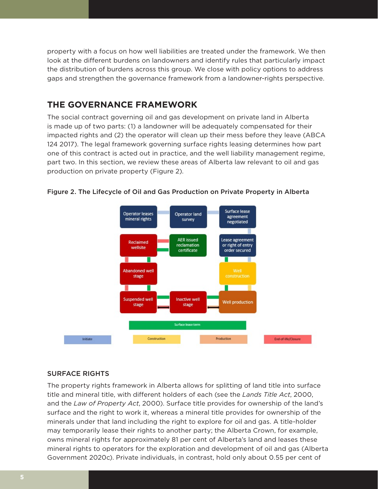property with a focus on how well liabilities are treated under the framework. We then look at the different burdens on landowners and identify rules that particularly impact the distribution of burdens across this group. We close with policy options to address gaps and strengthen the governance framework from a landowner-rights perspective.

# **THE GOVERNANCE FRAMEWORK**

The social contract governing oil and gas development on private land in Alberta is made up of two parts: (1) a landowner will be adequately compensated for their impacted rights and (2) the operator will clean up their mess before they leave (ABCA 124 2017). The legal framework governing surface rights leasing determines how part one of this contract is acted out in practice, and the well liability management regime, part two. In this section, we review these areas of Alberta law relevant to oil and gas production on private property (Figure 2).



Figure 2. The Lifecycle of Oil and Gas Production on Private Property in Alberta

### SURFACE RIGHTS

The property rights framework in Alberta allows for splitting of land title into surface title and mineral title, with different holders of each (see the *Lands Title Act*, 2000, and the *Law of Property Act*, 2000). Surface title provides for ownership of the land's surface and the right to work it, whereas a mineral title provides for ownership of the minerals under that land including the right to explore for oil and gas. A title-holder may temporarily lease their rights to another party; the Alberta Crown, for example, owns mineral rights for approximately 81 per cent of Alberta's land and leases these mineral rights to operators for the exploration and development of oil and gas ([Alberta](https://www.alberta.ca/mineral-ownership.aspx)  [Government 2020c\)](https://www.alberta.ca/mineral-ownership.aspx). Private individuals, in contrast, hold only about 0.55 per cent of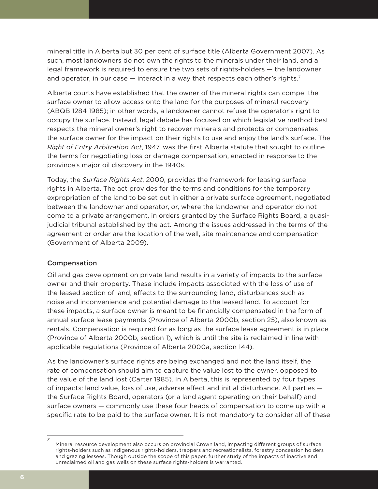mineral title in Alberta but 30 per cent of surface title [\(Alberta Government 2007](https://landuse.alberta.ca/LandUse%20Documents/Understanding%20Land%20Use%20in%20Alberta%20-%202007-04.pdf)). As such, most landowners do not own the rights to the minerals under their land, and a legal framework is required to ensure the two sets of rights-holders — the landowner and operator, in our case  $-$  interact in a way that respects each other's rights.<sup>7</sup>

Alberta courts have established that the owner of the mineral rights can compel the surface owner to allow access onto the land for the purposes of mineral recovery [\(ABQB 1284 1985](http://canlii.ca/t/27tc4)); in other words, a landowner cannot refuse the operator's right to occupy the surface. Instead, legal debate has focused on which legislative method best respects the mineral owner's right to recover minerals and protects or compensates the surface owner for the impact on their rights to use and enjoy the land's surface. The *Right of Entry Arbitration Act*, 1947, was the first Alberta statute that sought to outline the terms for negotiating loss or damage compensation, enacted in response to the province's major oil discovery in the 1940s.

Today, the *Surface Rights Act*, 2000, provides the framework for leasing surface rights in Alberta. The act provides for the terms and conditions for the temporary expropriation of the land to be set out in either a private surface agreement, negotiated between the landowner and operator, or, where the landowner and operator do not come to a private arrangement, in orders granted by the Surface Rights Board, a quasijudicial tribunal established by the act. Among the issues addressed in the terms of the agreement or order are the location of the well, site maintenance and compensation [\(Government of Alberta 2009](https://open.alberta.ca/dataset/f5b028c8-c5c3-410d-a2ec-b5936ef53881/resource/5adf7a28-8949-4187-beb4-0dfd0d703538/download/2009-878-1.pdf)).

### Compensation

Oil and gas development on private land results in a variety of impacts to the surface owner and their property. These include impacts associated with the loss of use of the leased section of land, effects to the surrounding land, disturbances such as noise and inconvenience and potential damage to the leased land. To account for these impacts, a surface owner is meant to be financially compensated in the form of annual surface lease payments (Province of Alberta 2000b, section 25), also known as rentals. Compensation is required for as long as the surface lease agreement is in place (Province of Alberta 2000b, section 1), which is until the site is reclaimed in line with applicable regulations (Province of Alberta 2000a, section 144).

As the landowner's surface rights are being exchanged and not the land itself, the rate of compensation should aim to capture the value lost to the owner, opposed to the value of the land lost [\(Carter 1985\)](http://albertalawreview.com/index.php/ALR/article/viewFile/1720/1709). In Alberta, this is represented by four types of impacts: land value, loss of use, adverse effect and initial disturbance. All parties the Surface Rights Board, operators (or a land agent operating on their behalf) and surface owners — commonly use these four heads of compensation to come up with a specific rate to be paid to the surface owner. It is not mandatory to consider all of these

*<sup>7</sup>* Mineral resource development also occurs on provincial Crown land, impacting different groups of surface rights-holders such as Indigenous rights-holders, trappers and recreationalists, forestry concession holders and grazing lessees. Though outside the scope of this paper, further study of the impacts of inactive and unreclaimed oil and gas wells on these surface rights-holders is warranted.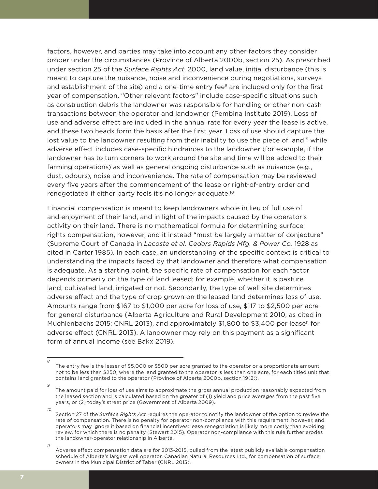factors, however, and parties may take into account any other factors they consider proper under the circumstances (Province of Alberta 2000b, section 25). As prescribed under section 25 of the *Surface Rights Act*, 2000, land value, initial disturbance (this is meant to capture the nuisance, noise and inconvenience during negotiations, surveys and establishment of the site) and a one-time entry fee<sup>8</sup> are included only for the first year of compensation. "Other relevant factors" include case-specific situations such as construction debris the landowner was responsible for handling or other non-cash transactions between the operator and landowner (Pembina Institute 2019). Loss of use and adverse effect are included in the annual rate for every year the lease is active, and these two heads form the basis after the first year. Loss of use should capture the lost value to the landowner resulting from their inability to use the piece of land, $9$  while adverse effect includes case-specific hindrances to the landowner (for example, if the landowner has to turn corners to work around the site and time will be added to their farming operations) as well as general ongoing disturbance such as nuisance (e.g., dust, odours), noise and inconvenience. The rate of compensation may be reviewed every five years after the commencement of the lease or right-of-entry order and renegotiated if either party feels it's no longer adequate.10

Financial compensation is meant to keep landowners whole in lieu of full use of and enjoyment of their land, and in light of the impacts caused by the operator's activity on their land. There is no mathematical formula for determining surface rights compensation, however, and it instead "must be largely a matter of conjecture" (Supreme Court of Canada in *Lacoste et al. Cedars Rapids Mfg. & Power Co.* 1928 as cited in Carter 1985). In each case, an understanding of the specific context is critical to understanding the impacts faced by that landowner and therefore what compensation is adequate. As a starting point, the specific rate of compensation for each factor depends primarily on the type of land leased; for example, whether it is pasture land, cultivated land, irrigated or not. Secondarily, the type of well site determines adverse effect and the type of crop grown on the leased land determines loss of use. Amounts range from \$167 to \$1,000 per acre for loss of use, \$117 to \$2,500 per acre for general disturbance (Alberta Agriculture and Rural Development 2010, as cited in Muehlenbachs 2015; CNRL 2013), and approximately  $$1,800$  to  $$3,400$  per lease<sup>11</sup> for adverse effect (CNRL 2013). A landowner may rely on this payment as a significant form of annual income (see [Bakx 2019\)](https://www.cbc.ca/news/business/alberta-asrb-surface-rental-payments-1.5127900).

*10* Section 27 of the *Surface Rights Act* requires the operator to notify the landowner of the option to review the rate of compensation. There is no penalty for operator non-compliance with this requirement, however, and operators may ignore it based on financial incentives: lease renegotiation is likely more costly than avoiding review, for which there is no penalty (Stewart 2015). Operator non-compliance with this rule further erodes

the landowner-operator relationship in Alberta.

*11*

*8*

The entry fee is the lesser of \$5,000 or \$500 per acre granted to the operator or a proportionate amount, not to be less than \$250, where the land granted to the operator is less than one acre, for each titled unit that contains land granted to the operator (Province of Alberta 2000b, section 19(2)).

The amount paid for loss of use aims to approximate the gross annual production reasonably expected from the leased section and is calculated based on the greater of (1) yield and price averages from the past five years, or (2) today's street price [\(Government of Alberta 2009](https://open.alberta.ca/dataset/f5b028c8-c5c3-410d-a2ec-b5936ef53881/resource/5adf7a28-8949-4187-beb4-0dfd0d703538/download/2009-878-1.pdf)).

Adverse effect compensation data are for 2013-2015, pulled from the latest publicly available compensation schedule of Alberta's largest well operator, Canadian Natural Resources Ltd., for compensation of surface owners in the Municipal District of Taber [\(CNRL 2013\)](https://actionsurfacerights.ca/wp-content/uploads/2013/09/CNRL-Agreement.pdf).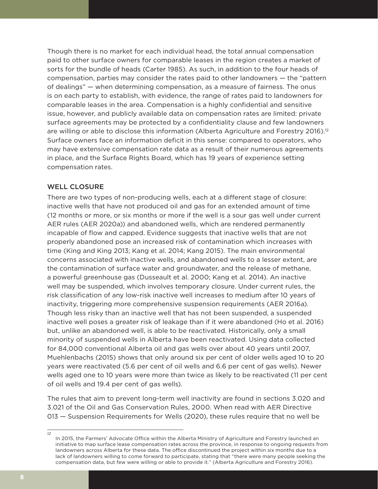Though there is no market for each individual head, the total annual compensation paid to other surface owners for comparable leases in the region creates a market of sorts for the bundle of heads [\(Carter 1985\)](http://albertalawreview.com/index.php/ALR/article/viewFile/1720/1709). As such, in addition to the four heads of compensation, parties may consider the rates paid to other landowners — the "pattern of dealings" — when determining compensation, as a measure of fairness. The onus is on each party to establish, with evidence, the range of rates paid to landowners for comparable leases in the area. Compensation is a highly confidential and sensitive issue, however, and publicly available data on compensation rates are limited: private surface agreements may be protected by a confidentiality clause and few landowners are willing or able to disclose this information (Alberta Agriculture and Forestry [2016\)](https://www1.agric.gov.ab.ca/$Department/deptdocs.nsf/all/ofa15076/$FILE/annual2015-16.pdf).<sup>12</sup> Surface owners face an information deficit in this sense: compared to operators, who may have extensive compensation rate data as a result of their numerous agreements in place, and the Surface Rights Board, which has 19 years of experience setting compensation rates.

### WELL CLOSURE

There are two types of non-producing wells, each at a different stage of closure: inactive wells that have not produced oil and gas for an extended amount of time (12 months or more, or six months or more if the well is a sour gas well under current AER rules (AER 2020a)) and abandoned wells, which are rendered permanently incapable of flow and capped. Evidence suggests that inactive wells that are not properly abandoned pose an increased risk of contamination which increases with time [\(King and King 2013](https://www.onepetro.org/journal-paper/SPE-166142-PA); [Kang et al. 2014](https://doi.org/10.1073/pnas.1408315111); [Kang 2015\)](https://doi.org/10.1021/acs.est.5b00132). The main environmental concerns associated with inactive wells, and abandoned wells to a lesser extent, are the contamination of surface water and groundwater, and the release of methane, a powerful greenhouse gas (Dusseault et al. 2000; [Kang et al. 2014](https://www.pnas.org/content/pnas/111/51/18173.full.pdf)). An inactive well may be suspended, which involves temporary closure. Under current rules, the risk classification of any low-risk inactive well increases to medium after 10 years of inactivity, triggering more comprehensive suspension requirements [\(AER 2016](https://www.aer.ca/documents/directives/Directive013andIWCP-FAQs.pdf)a). Though less risky than an inactive well that has not been suspended, a suspended inactive well poses a greater risk of leakage than if it were abandoned [\(Ho et al. 2016](https://www.rff.org/documents/536/RFF-Rpt-PluggingInactiveWells.pdf)) but, unlike an abandoned well, is able to be reactivated. Historically, only a small minority of suspended wells in Alberta have been reactivated. Using data collected for 84,000 conventional Alberta oil and gas wells over about 40 years until 2007, Muehlenbachs (2015) shows that only around six per cent of older wells aged 10 to 20 years were reactivated (5.6 per cent of oil wells and 6.6 per cent of gas wells). Newer wells aged one to 10 years were more than twice as likely to be reactivated (11 per cent of oil wells and 19.4 per cent of gas wells).

The rules that aim to prevent long-term well inactivity are found in sections 3.020 and 3.021 of the Oil and Gas Conservation Rules, 2000. When read with AER Directive 013 — Suspension Requirements for Wells (2020), these rules require that no well be

In 2015, the Farmers' Advocate Office within the Alberta Ministry of Agriculture and Forestry launched an initiative to map surface lease compensation rates across the province, in response to ongoing requests from landowners across Alberta for these data. The office discontinued the project within six months due to a lack of landowners willing to come forward to participate, stating that "there were many people seeking the compensation data, but few were willing or able to provide it." (Alberta Agriculture and Forestry [2016](https://www1.agric.gov.ab.ca/$Department/deptdocs.nsf/all/ofa15076/$FILE/annual2015-16.pdf)).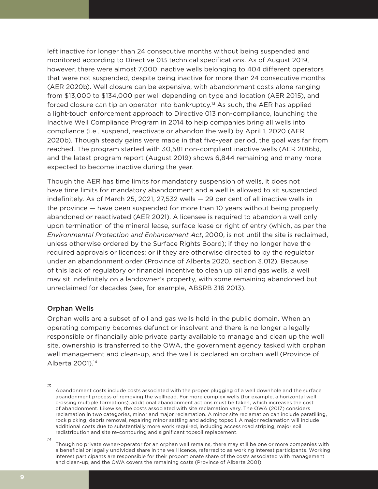left inactive for longer than 24 consecutive months without being suspended and monitored according to Directive 013 technical specifications. As of August 2019, however, there were almost 7,000 inactive wells belonging to 404 different operators that were not suspended, despite being inactive for more than 24 consecutive months [\(AER 2020b\)](https://www.aer.ca/documents/directives/Directive013_IWCPYearThreeandFourFinalReport.pdf). Well closure can be expensive, with abandonment costs alone ranging from \$13,000 to \$134,000 per well depending on type and location ([AER 2015\)](https://www.aer.ca/documents/directives/Directive011_March2015.pdf), and forced closure can tip an operator into bankruptcy.13 As such, the AER has applied a light-touch enforcement approach to Directive 013 non-compliance, launching the Inactive Well Compliance Program in 2014 to help companies bring all wells into compliance (i.e., suspend, reactivate or abandon the well) by April 1, 2020 ([AER](https://www.aer.ca/documents/directives/Directive013_IWCPYearThreeandFourFinalReport.pdf) 2020b). Though steady gains were made in that five-year period, the goal was far from reached. The program started with 30,581 non-compliant inactive wells (AER 2016b), and the latest program report (August 2019) shows 6,844 remaining and many more expected to become inactive during the year.

Though the AER has time limits for mandatory suspension of wells, it does not have time limits for mandatory abandonment and a well is allowed to sit suspended indefinitely. As of March 25, 2021, 27,532 wells — 29 per cent of all inactive wells in the province — have been suspended for more than 10 years without being properly abandoned or reactivated [\(AER 2021](http://www.aer.ca/data/codes/Inactive_Well_Licence_List.xlsx)). A licensee is required to abandon a well only upon termination of the mineral lease, surface lease or right of entry (which, as per the *Environmental Protection and Enhancement Act*, 2000, is not until the site is reclaimed, unless otherwise ordered by the Surface Rights Board); if they no longer have the required approvals or licences; or if they are otherwise directed to by the regulator under an abandonment order (Province of Alberta 2020, section 3.012). Because of this lack of regulatory or financial incentive to clean up oil and gas wells, a well may sit indefinitely on a landowner's property, with some remaining abandoned but unreclaimed for decades (see, for example, ABSR[B 316](http://canlii.ca/t/fzcj5) 2013).

### Orphan Wells

Orphan wells are a subset of oil and gas wells held in the public domain. When an operating company becomes defunct or insolvent and there is no longer a legally responsible or financially able private party available to manage and clean up the well site, ownership is transferred to the OWA, the government agency tasked with orphan well management and clean-up, and the well is declared an orphan well (Province of Alberta 2001).14

*14*

Abandonment costs include costs associated with the proper plugging of a well downhole and the surface abandonment process of removing the wellhead. For more complex wells (for example, a horizontal well crossing multiple formations), additional abandonment actions must be taken, which increases the cost of abandonment. Likewise, the costs associated with site reclamation vary. The OWA (2017) considers reclamation in two categories, minor and major reclamation. A minor site reclamation can include paratilling, rock picking, debris removal, repairing minor settling and adding topsoil. A major reclamation will include additional costs due to substantially more work required, including access road striping, major soil redistribution and site re-contouring and significant topsoil replacement.

Though no private owner-operator for an orphan well remains, there may still be one or more companies with a beneficial or legally undivided share in the well licence, referred to as working interest participants. Working interest participants are responsible for their proportionate share of the costs associated with management and clean-up, and the OWA covers the remaining costs (Province of Alberta 2001).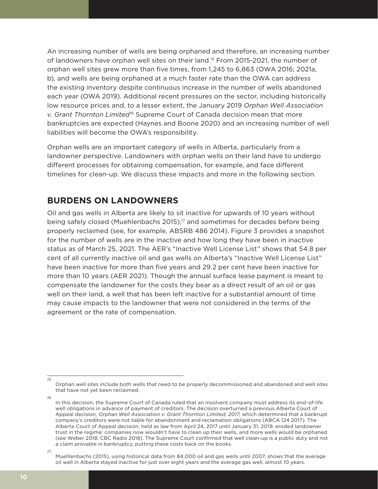An increasing number of wells are being orphaned and therefore, an increasing number of landowners have orphan well sites on their land.<sup>15</sup> From 2015-2021, the number of orphan well sites grew more than five times, from 1,245 to 6,863 [\(OWA](http://www.orphanwell.ca/wp-content/uploads/2020/07/Orphan-Sites-for-Reclamation-2020-07-01-07.12.46.pdf) 2016; 2021a, b), and wells are being orphaned at a much faster rate than the OWA can address the existing inventory despite continuous increase in the number of wells abandoned each year [\(OWA 2019\)](http://www.orphanwell.ca/wp-content/uploads/2019/07/OWA-2018-19-Ann-Rpt-Final.pdf). Additional recent pressures on the sector, including historically low resource prices and, to a lesser extent, the January 2019 *Orphan Well Association v. Grant Thornton Limited*<sup>16</sup> Supreme Court of Canada decision mean that more bankruptcies are expected ([Haynes and Boone 2020](https://www.haynesboone.com/publications/energy-bankruptcy-monitors-and-surveys)) and an increasing number of well liabilities will become the OWA's responsibility.

Orphan wells are an important category of wells in Alberta, particularly from a landowner perspective. Landowners with orphan wells on their land have to undergo different processes for obtaining compensation, for example, and face different timelines for clean-up. We discuss these impacts and more in the following section.

# **BURDENS ON LANDOWNERS**

Oil and gas wells in Alberta are likely to sit inactive for upwards of 10 years without being safely closed (Muehlenbachs 2015),<sup>17</sup> and sometimes for decades before being properly reclaimed (see, for example[, ABSRB 486 2014](http://canlii.ca/t/g8st8)). Figure 3 provides a snapshot for the number of wells are in the inactive and how long they have been in inactive status as of March 25, 2021. The AER's "Inactive Well License List" shows that 54.8 per cent of all currently inactive oil and gas wells on Alberta's "Inactive Well License List" have been inactive for more than five years and 29.2 per cent have been inactive for more than 10 years (AER 2021). Though the annual surface lease payment is meant to compensate the landowner for the costs they bear as a direct result of an oil or gas well on their land, a well that has been left inactive for a substantial amount of time may cause impacts to the landowner that were not considered in the terms of the agreement or the rate of compensation.

Orphan well sites include both wells that need to be properly decommissioned and abandoned and well sites that have not yet been reclaimed.

*<sup>16</sup>* In this decision, the Supreme Court of Canada ruled that an insolvent company must address its end-of-life well obligations in advance of payment of creditors. The decision overturned a previous Alberta Court of Appeal decision, Orphan Well Association v. Grant Thornton Limited, 2017, which determined that a bankrupt company's creditors were not liable for abandonment and reclamation obligations (ABCA 124 2017). The Alberta Court of Appeal decision, held as law from April 24, 2017 until January 31, 2019, eroded landowner trust in the regime: companies now wouldn't have to clean up their wells, and more wells would be orphaned (see [Weber 2018;](https://www.cbc.ca/news/canada/calgary/abandoned-wells-alberta-1.4494483) [CBC Radio 2018](https://www.cbc.ca/radio/thecurrent/the-current-for-friday-february-16-2018-1.4538481/who-should-pay-to-clean-up-abandoned-oil-wells-farmers-say-they-re-left-with-someone-else-s-mess-1.4538504)). The Supreme Court confirmed that well clean-up is a public duty and not a claim provable in bankruptcy, putting these costs back on the books.

*<sup>17</sup>* Muehlenbachs [\(2015\)](https://doi.org/10.1111/iere.12098), using historical data from 84,000 oil and gas wells until 2007, shows that the average oil well in Alberta stayed inactive for just over eight years and the average gas well, almost 10 years.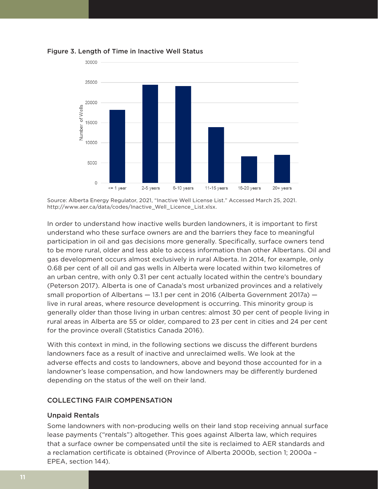

Figure 3. Length of Time in Inactive Well Status

Source: Alberta Energy Regulator, 2021, "Inactive Well License List." Accessed March 25, 2021. [http://www.aer.ca/data/codes/Inactive\\_Well\\_Licence\\_List.xlsx](http://www.aer.ca/data/codes/Inactive_Well_Licence_List.xlsx).

In order to understand how inactive wells burden landowners, it is important to first understand who these surface owners are and the barriers they face to meaningful participation in oil and gas decisions more generally. Specifically, surface owners tend to be more rural, older and less able to access information than other Albertans. Oil and gas development occurs almost exclusively in rural Alberta. In 2014, for example, only 0.68 per cent of all oil and gas wells in Alberta were located within two kilometres of an urban centre, with only 0.31 per cent actually located within the centre's boundary [\(Peterson 2017](https://prism.ucalgary.ca/bitstream/handle/1880/106817/Peterson%2c%20Kristy%20Rae%20%28Robert%20M%29.pdf?sequence=1&isAllowed=y)). Alberta is one of Canada's most urbanized provinces and a relatively small proportion of Albertans — 13.1 per cent in 2016 [\(Alberta Government 2017a](https://open.alberta.ca/dataset/7d02c106-a55a-4f88-8253-4b4c81168e9f/resource/e435dd59-2dbd-4bf2-b5b6-3173d9bd6c39/download/2016-census-population-and-dwelling-counts.pdf)) live in rural areas, where resource development is occurring. This minority group is generally older than those living in urban centres: almost 30 per cent of people living in rural areas in Alberta are 55 or older, compared to 23 per cent in cities and 24 per cent for the province overall [\(Statistics Canada 2016](https://doi.org/10.25318/3210001201-eng)).

With this context in mind, in the following sections we discuss the different burdens landowners face as a result of inactive and unreclaimed wells. We look at the adverse effects and costs to landowners, above and beyond those accounted for in a landowner's lease compensation, and how landowners may be differently burdened depending on the status of the well on their land.

### COLLECTING FAIR COMPENSATION

### Unpaid Rentals

Some landowners with non-producing wells on their land stop receiving annual surface lease payments ("rentals") altogether. This goes against Alberta law, which requires that a surface owner be compensated until the site is reclaimed to AER standards and a reclamation certificate is obtained (Province of Alberta 2000b, section 1; 2000a – EPEA, section 144).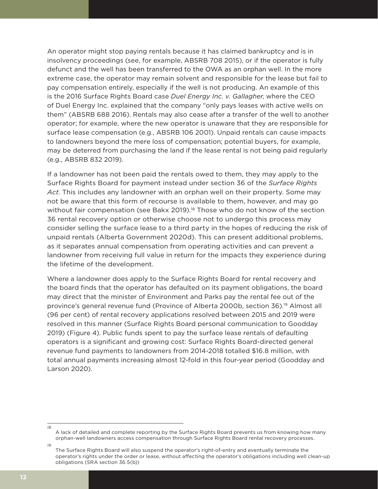An operator might stop paying rentals because it has claimed bankruptcy and is in insolvency proceedings (see, for example, ABSRB 708 2015), or if the operator is fully defunct and the well has been transferred to the OWA as an orphan well. In the more extreme case, the operator may remain solvent and responsible for the lease but fail to pay compensation entirely, especially if the well is not producing. An example of this is the 2016 Surface Rights Board case *Duel Energy Inc. v. Gallagher*, where the CEO of Duel Energy Inc. explained that the company "only pays leases with active wells on them" ([ABSRB 688 2016](https://www.canlii.org/en/ab/absrb/doc/2016/2016absrb688/2016absrb688.html?searchUrlHash=AAAAAQAcRHVlbCBFbmVyZ3kgSW5jLiB2IEdhbGxhZ2hlcgAAAAAB&resultIndex=2)). Rentals may also cease after a transfer of the well to another operator; for example, where the new operator is unaware that they are responsible for surface lease compensation (e.g., [ABSRB 106](http://canlii.ca/t/ftgph) 2001). Unpaid rentals can cause impacts to landowners beyond the mere loss of compensation; potential buyers, for example, may be deterred from purchasing the land if the lease rental is not being paid regularly (e.g., ABSRB 832 2019).

If a landowner has not been paid the rentals owed to them, they may apply to the Surface Rights Board for payment instead under section 36 of the *Surface Rights Act*. This includes any landowner with an orphan well on their property. Some may not be aware that this form of recourse is available to them, however, and may go without fair compensation (see [Bakx 2019](https://www.cbc.ca/news/business/alberta-asrb-surface-rental-payments-1.5127900)).<sup>18</sup> Those who do not know of the section 36 rental recovery option or otherwise choose not to undergo this process may consider selling the surface lease to a third party in the hopes of reducing the risk of unpaid rentals (Alberta Government [2020d](https://www.alberta.ca/selling-surface-leases-advisory.aspx)). This can present additional problems, as it separates annual compensation from operating activities and can prevent a landowner from receiving full value in return for the impacts they experience during the lifetime of the development.

Where a landowner does apply to the Surface Rights Board for rental recovery and the board finds that the operator has defaulted on its payment obligations, the board may direct that the minister of Environment and Parks pay the rental fee out of the province's general revenue fund (Province of Alberta 2000b, section 36).19 Almost all (96 per cent) of rental recovery applications resolved between 2015 and 2019 were resolved in this manner (Surface Rights Board personal communication to Goodday 2019) (Figure 4). Public funds spent to pay the surface lease rentals of defaulting operators is a significant and growing cost: Surface Rights Board-directed general revenue fund payments to landowners from 2014-2018 totalled \$16.8 million, with total annual payments increasing almost 12-fold in this four-year period [\(Goodday and](https://www.policyschool.ca/wp-content/uploads/2020/04/Energy-Trends-Orphan-Wells-Goodday-Larson-version-2.pdf.)  [Larson 2020](https://www.policyschool.ca/wp-content/uploads/2020/04/Energy-Trends-Orphan-Wells-Goodday-Larson-version-2.pdf.)).

A lack of detailed and complete reporting by the Surface Rights Board prevents us from knowing how many orphan-well landowners access compensation through Surface Rights Board rental recovery processes.

*<sup>19</sup>* The Surface Rights Board will also suspend the operator's right-of-entry and eventually terminate the operator's rights under the order or lease, without affecting the operator's obligations including well clean-up obligations (SRA section 36.5(b))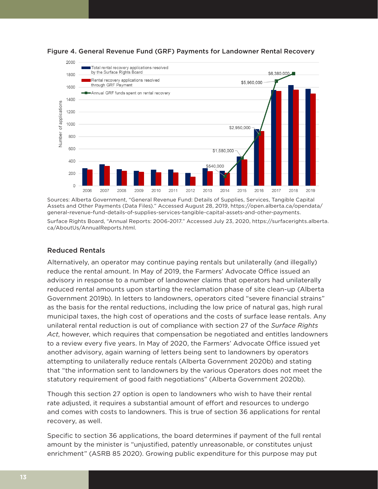



Sources: Alberta Government, "General Revenue Fund: Details of Supplies, Services, Tangible Capital Assets and Other Payments (Data Files)." Accessed August 28, 2019, [https://open.alberta.ca/opendata/](https://open.alberta.ca/opendata/general-revenue-fund-details-of-supplies-services-tangible-capital-assets-and-other-payments) [general-revenue-fund-details-of-supplies-services-tangible-capital-assets-and-other-payments.](https://open.alberta.ca/opendata/general-revenue-fund-details-of-supplies-services-tangible-capital-assets-and-other-payments) Surface Rights Board, "Annual Reports: 2006-2017." Accessed July 23, 2020, [https://surfacerights.alberta.](https://surfacerights.alberta.ca/AboutUs/AnnualReports.html) [ca/AboutUs/AnnualReports.html.](https://surfacerights.alberta.ca/AboutUs/AnnualReports.html)

### Reduced Rentals

Alternatively, an operator may continue paying rentals but unilaterally (and illegally) reduce the rental amount. In May of 2019, the Farmers' Advocate Office issued an advisory in response to a number of landowner claims that operators had unilaterally reduced rental amounts upon starting the reclamation phase of site clean-up (Alberta Government [2019b\)](https://www.alberta.ca/assets/documents/fao-advisory-surface-rights-act-payment-reduction.pdf). In letters to landowners, operators cited "severe financial strains" as the basis for the rental reductions, including the low price of natural gas, high rural municipal taxes, the high cost of operations and the costs of surface lease rentals. Any unilateral rental reduction is out of compliance with section 27 of the *Surface Rights Act*, however, which requires that compensation be negotiated and entitles landowners to a review every five years. In May of 2020, the Farmers' Advocate Office issued yet another advisory, again warning of letters being sent to landowners by operators attempting to unilaterally reduce rentals (Alberta Governmen[t 2020](https://www.alberta.ca/assets/documents/af-fao-advisory-2020-4-rentalreductions-energy.pdf)b) and stating that "the information sent to landowners by the various Operators does not meet the statutory requirement of good faith negotiations" (Alberta Government [2020b\)](https://www.alberta.ca/assets/documents/af-fao-advisory-2020-4-rentalreductions-energy.pdf).

Though this section 27 option is open to landowners who wish to have their rental rate adjusted, it requires a substantial amount of effort and resources to undergo and comes with costs to landowners. This is true of section 36 applications for rental recovery, as well.

Specific to section 36 applications, the board determines if payment of the full rental amount by the minister is "unjustified, patently unreasonable, or constitutes unjust enrichment" (ASRB 85 2020). Growing public expenditure for this purpose may put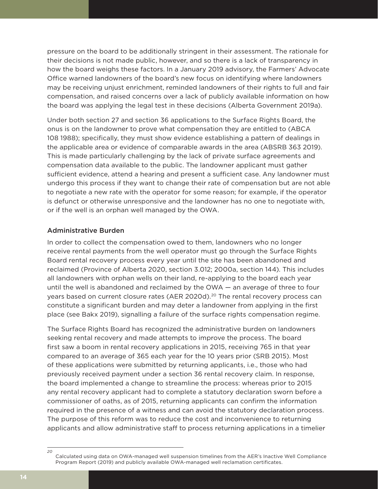pressure on the board to be additionally stringent in their assessment. The rationale for their decisions is not made public, however, and so there is a lack of transparency in how the board weighs these factors. In a January 2019 advisory, the Farmers' Advocate Office warned landowners of the board's new focus on identifying where landowners may be receiving unjust enrichment, reminded landowners of their rights to full and fair compensation, and raised concerns over a lack of publicly available information on how the board was applying the legal test in these decisions (Alberta Government [2019a\)](https://www1.agric.gov.ab.ca/$Department/deptdocs.nsf/all/ofa11058/$FILE/Advisory%20-%20Condition%20of%20Leased%20Area%20Form.pdf).

Under both section 27 and section 36 applications to the Surface Rights Board, the onus is on the landowner to prove what compensation they are entitled to [\(ABCA](http://canlii.ca/t/2dm4s)  [108 1988](http://canlii.ca/t/2dm4s)); specifically, they must show evidence establishing a pattern of dealings in the applicable area or evidence of comparable awards in the area [\(ABSRB 363 2019\)](http://canlii.ca/t/j19m2). This is made particularly challenging by the lack of private surface agreements and compensation data available to the public. The landowner applicant must gather sufficient evidence, attend a hearing and present a sufficient case. Any landowner must undergo this process if they want to change their rate of compensation but are not able to negotiate a new rate with the operator for some reason; for example, if the operator is defunct or otherwise unresponsive and the landowner has no one to negotiate with, or if the well is an orphan well managed by the OWA.

### Administrative Burden

In order to collect the compensation owed to them, landowners who no longer receive rental payments from the well operator must go through the Surface Rights Board rental recovery process every year until the site has been abandoned and reclaimed (Province of Alberta 2020, section 3.012; 2000a, section 144). This includes all landowners with orphan wells on their land, re-applying to the board each year until the well is abandoned and reclaimed by the OWA — an average of three to four years based on current closure rates [\(AER 2020d](https://webapps.aer.ca/pod)).<sup>20</sup> The rental recovery process can constitute a significant burden and may deter a landowner from applying in the first place (see Bakx 2019), signalling a failure of the surface rights compensation regime.

The Surface Rights Board has recognized the administrative burden on landowners seeking rental recovery and made attempts to improve the process. The board first saw a boom in rental recovery applications in 2015, receiving 765 in that year compared to an average of 365 each year for the 10 years prior (SRB 2015). Most of these applications were submitted by returning applicants, i.e., those who had previously received payment under a section 36 rental recovery claim. In response, the board implemented a change to streamline the process: whereas prior to 2015 any rental recovery applicant had to complete a statutory declaration sworn before a commissioner of oaths, as of 2015, returning applicants can confirm the information required in the presence of a witness and can avoid the statutory declaration process. The purpose of this reform was to reduce the cost and inconvenience to returning applicants and allow administrative staff to process returning applications in a timelier

*<sup>20</sup>* Calculated using data on OWA-managed well suspension timelines from the AER's Inactive Well Compliance Program Report (2019) and publicly available OWA-managed well reclamation certificates.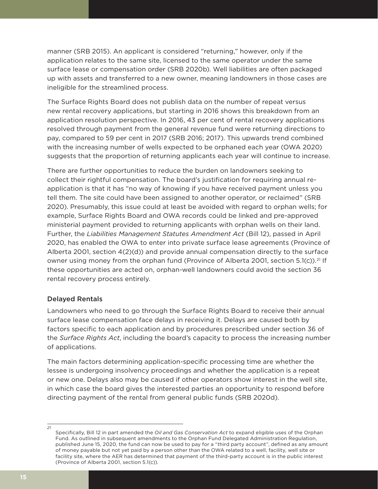manner (SRB 2015). An applicant is considered "returning," however, only if the application relates to the same site, licensed to the same operator under the same surface lease or compensation order ([SRB 2020b\)](https://surfacerights.alberta.ca/ApplicationTypes/RecoveryofRentals.html). Well liabilities are often packaged up with assets and transferred to a new owner, meaning landowners in those cases are ineligible for the streamlined process.

The Surface Rights Board does not publish data on the number of repeat versus new rental recovery applications, but starting in 2016 shows this breakdown from an application resolution perspective. In 2016, 43 per cent of rental recovery applications resolved through payment from the general revenue fund were returning directions to pay, compared to 59 per cent in 2017 (SRB 2016; 2017). This upwards trend combined with the increasing number of wells expected to be orphaned each year [\(OWA 2020\)](http://www.orphanwell.ca/wp-content/uploads/2020/06/OWA-Annual_2019.pdf) suggests that the proportion of returning applicants each year will continue to increase.

There are further opportunities to reduce the burden on landowners seeking to collect their rightful compensation. The board's justification for requiring annual reapplication is that it has "no way of knowing if you have received payment unless you tell them. The site could have been assigned to another operator, or reclaimed" ([SRB](https://surfacerights.alberta.ca/ApplicationTypes/RecoveryofRentals/FrequentlyAskedQuestions.html)  [2020\)](https://surfacerights.alberta.ca/ApplicationTypes/RecoveryofRentals/FrequentlyAskedQuestions.html). Presumably, this issue could at least be avoided with regard to orphan wells; for example, Surface Rights Board and OWA records could be linked and pre-approved ministerial payment provided to returning applicants with orphan wells on their land. Further, the *Liabilities Management Statutes Amendment Act* (Bill 12), passed in April 2020, has enabled the OWA to enter into private surface lease agreements (Province of Alberta 2001, section 4(2)(d)) and provide annual compensation directly to the surface owner using money from the orphan fund (Province of Alberta 2001, section 5.1(c)).<sup>21</sup> If these opportunities are acted on, orphan-well landowners could avoid the section 36 rental recovery process entirely.

### Delayed Rentals

Landowners who need to go through the Surface Rights Board to receive their annual surface lease compensation face delays in receiving it. Delays are caused both by factors specific to each application and by procedures prescribed under section 36 of the *Surface Rights Act*, including the board's capacity to process the increasing number of applications.

The main factors determining application-specific processing time are whether the lessee is undergoing insolvency proceedings and whether the application is a repeat or new one. Delays also may be caused if other operators show interest in the well site, in which case the board gives the interested parties an opportunity to respond before directing payment of the rental from general public funds [\(SRB 2020d](https://surfacerights.alberta.ca/ApplicationTypes/RecoveryofRentals/NewApplications.html)).

Specifically, Bill 12 in part amended the *Oil and Gas Conservation Act* to expand eligible uses of the Orphan Fund. As outlined in subsequent amendments to the Orphan Fund Delegated Administration Regulation, published June 15, 2020, the fund can now be used to pay for a "third party account", defined as any amount of money payable but not yet paid by a person other than the OWA related to a well, facility, well site or facility site, where the AER has determined that payment of the third-party account is in the public interest (Province of Alberta 2001, section 5.1(c)).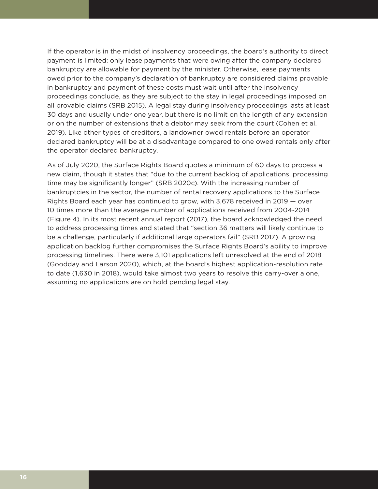If the operator is in the midst of insolvency proceedings, the board's authority to direct payment is limited: only lease payments that were owing after the company declared bankruptcy are allowable for payment by the minister. Otherwise, lease payments owed prior to the company's declaration of bankruptcy are considered claims provable in bankruptcy and payment of these costs must wait until after the insolvency proceedings conclude, as they are subject to the stay in legal proceedings imposed on all provable claims ([SRB 2015](http://canlii.ca/t/gl7wk)). A legal stay during insolvency proceedings lasts at least 30 days and usually under one year, but there is no limit on the length of any extension or on the number of extensions that a debtor may seek from the court [\(Cohen et al.](https://ca.practicallaw.thomsonreuters.com/3-502-1736?transitionType=Default&contextData=(sc.Default)&firstPage=true&bhcp=1)  [2019\)](https://ca.practicallaw.thomsonreuters.com/3-502-1736?transitionType=Default&contextData=(sc.Default)&firstPage=true&bhcp=1). Like other types of creditors, a landowner owed rentals before an operator declared bankruptcy will be at a disadvantage compared to one owed rentals only after the operator declared bankruptcy.

As of July 2020, the Surface Rights Board quotes a minimum of 60 days to process a new claim, though it states that "due to the current backlog of applications, processing time may be significantly longer" ([SRB 2020c\)](https://surfacerights.alberta.ca/ApplicationTypes/RecoveryofRentals/FrequentlyAskedQuestions.html). With the increasing number of bankruptcies in the sector, the number of rental recovery applications to the Surface Rights Board each year has continued to grow, with 3,678 received in 2019 — over 10 times more than the average number of applications received from 2004-2014 (Figure 4). In its most recent annual report (2017), the board acknowledged the need to address processing times and stated that "section 36 matters will likely continue to be a challenge, particularly if additional large operators fail" (SRB 2017). A growing application backlog further compromises the Surface Rights Board's ability to improve processing timelines. There were 3,101 applications left unresolved at the end of 2018 [\(Goodday](https://surfacerights.alberta.ca/AboutUs/AnnualReports.html) and Larson 2020), which, at the board's highest application-resolution rate to date (1,630 in 2018), would take almost two years to resolve this carry-over alone, assuming no applications are on hold pending legal stay.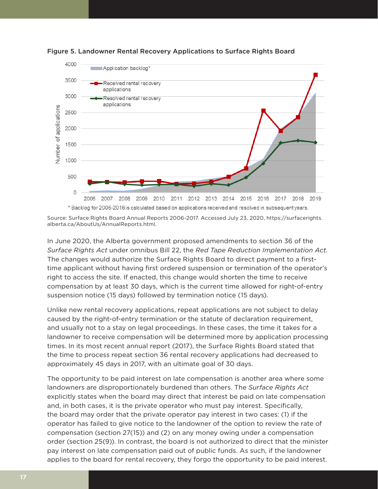



In June 2020, the Alberta government proposed amendments to section 36 of the *Surface Rights Act* under omnibus Bill 22, the *Red Tape Reduction Implementation Act*. The changes would authorize the Surface Rights Board to direct payment to a firsttime applicant without having first ordered suspension or termination of the operator's right to access the site. If enacted, this change would shorten the time to receive compensation by at least 30 days, which is the current time allowed for right-of-entry suspension notice (15 days) followed by termination notice (15 days).

Unlike new rental recovery applications, repeat applications are not subject to delay caused by the right-of-entry termination or the statute of declaration requirement, and usually not to a stay on legal proceedings. In these cases, the time it takes for a landowner to receive compensation will be determined more by application processing times. In its most recent annual report (2017), the Surface Rights Board stated that the time to process repeat section 36 rental recovery applications had decreased to approximately 45 days in 2017, with an ultimate goal of 30 days.

The opportunity to be paid interest on late compensation is another area where some landowners are disproportionately burdened than others. The *Surface Rights Act* explicitly states when the board may direct that interest be paid on late compensation and, in both cases, it is the private operator who must pay interest. Specifically, the board may order that the private operator pay interest in two cases: (1) if the operator has failed to give notice to the landowner of the option to review the rate of compensation (section 27(15)) and (2) on any money owing under a compensation order (section 25(9)). In contrast, the board is not authorized to direct that the minister pay interest on late compensation paid out of public funds. As such, if the landowner applies to the board for rental recovery, they forgo the opportunity to be paid interest.

Source: Surface Rights Board Annual Reports 2006-2017. Accessed July 23, 2020, [https://surfacerights.](https://surfacerights.alberta.ca/AboutUs/AnnualReports.html) [alberta.ca/AboutUs/AnnualReports.html.](https://surfacerights.alberta.ca/AboutUs/AnnualReports.html)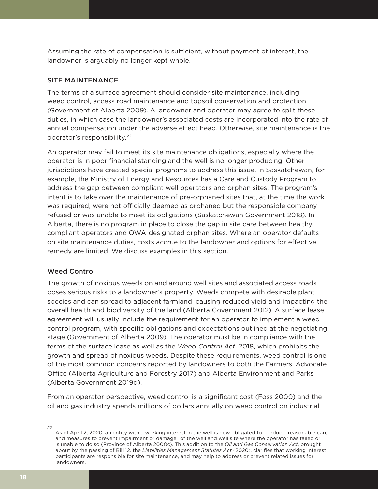Assuming the rate of compensation is sufficient, without payment of interest, the landowner is arguably no longer kept whole.

### SITE MAINTENANCE

The terms of a surface agreement should consider site maintenance, including weed control, access road maintenance and topsoil conservation and protection [\(Government of Alberta 2009](https://open.alberta.ca/dataset/f5b028c8-c5c3-410d-a2ec-b5936ef53881/resource/5adf7a28-8949-4187-beb4-0dfd0d703538/download/2009-878-1.pdf)). A landowner and operator may agree to split these duties, in which case the landowner's associated costs are incorporated into the rate of annual compensation under the adverse effect head. Otherwise, site maintenance is the operator's responsibility.22

An operator may fail to meet its site maintenance obligations, especially where the operator is in poor financial standing and the well is no longer producing. Other jurisdictions have created special programs to address this issue. In Saskatchewan, for example, the Ministry of Energy and Resources has a Care and Custody Program to address the gap between compliant well operators and orphan sites. The program's intent is to take over the maintenance of pre-orphaned sites that, at the time the work was required, were not officially deemed as orphaned but the responsible company refused or was unable to meet its obligations ([Saskatchewan Government 2018\)](https://auditor.sk.ca/pub/publications/public_reports/2018/17_Energy%20and%20Resources%E2%80%94Managing%20Future%20Cleanup%20of%20Oil%20and%20Gas%20Wells.pdf). In Alberta, there is no program in place to close the gap in site care between healthy, compliant operators and OWA-designated orphan sites. Where an operator defaults on site maintenance duties, costs accrue to the landowner and options for effective remedy are limited. We discuss examples in this section.

### Weed Control

The growth of noxious weeds on and around well sites and associated access roads poses serious risks to a landowner's property. Weeds compete with desirable plant species and can spread to adjacent farmland, causing reduced yield and impacting the overall health and biodiversity of the land [\(Alberta Government 2012](https://open.alberta.ca/publications/weed-management-on-industrial-sites)). A surface lease agreement will usually include the requirement for an operator to implement a weed control program, with specific obligations and expectations outlined at the negotiating stage [\(Government of Alberta 2009](https://open.alberta.ca/dataset/f5b028c8-c5c3-410d-a2ec-b5936ef53881/resource/5adf7a28-8949-4187-beb4-0dfd0d703538/download/2009-878-1.pdf)). The operator must be in compliance with the terms of the surface lease as well as the *Weed Control Act*, 2018, which prohibits the growth and spread of noxious weeds. Despite these requirements, weed control is one of the most common concerns reported by landowners to both the Farmers' Advocate Office ([Alberta Agriculture and Forestry 2017\)](http://www.assembly.ab.ca/lao/library/egovdocs/2016/ala/53529_16.pdf) and Alberta Environment and Parks [\(Alberta Government 2019d](https://www.alberta.ca/assets/documents/aep-weed-awareness.pdf)).

From an operator perspective, weed control is a significant cost [\(Foss 2000](https://prism.ucalgary.ca/bitstream/handle/1880/40773/64912Foss.pdf?sequence=1)) and the oil and gas industry spends millions of dollars annually on weed control on industrial

As of April 2, 2020, an entity with a working interest in the well is now obligated to conduct "reasonable care and measures to prevent impairment or damage" of the well and well site where the operator has failed or is unable to do so (Province of Alberta 2000c). This addition to the *Oil and Gas Conservation Act*, brought about by the passing of Bill 12, the *Liabilities Management Statutes Act* [\(2020\)](https://www.assembly.ab.ca/net/index.aspx?p=bills_status&selectbill=012&legl=30&session=2), clarifies that working interest participants are responsible for site maintenance, and may help to address or prevent related issues for landowners.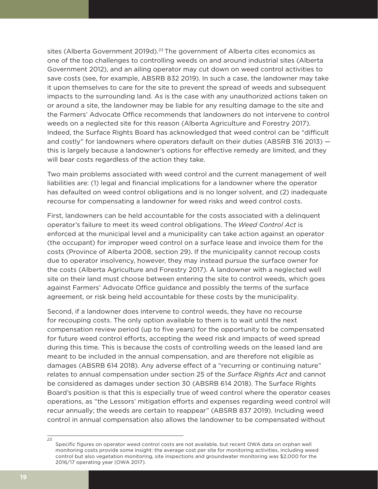sites [\(Alberta Government 2019d\)](https://www.alberta.ca/assets/documents/aep-weed-awareness.pdf).<sup>23</sup> The government of Alberta cites economics as one of the top challenges to controlling weeds on and around industrial sites ([Alberta](https://open.alberta.ca/publications/weed-management-on-industrial-sites)  [Government 2012](https://open.alberta.ca/publications/weed-management-on-industrial-sites)), and an ailing operator may cut down on weed control activities to save costs (see, for example, ABSRB 832 2019). In such a case, the landowner may take it upon themselves to care for the site to prevent the spread of weeds and subsequent impacts to the surrounding land. As is the case with any unauthorized actions taken on or around a site, the landowner may be liable for any resulting damage to the site and the Farmers' Advocate Office recommends that landowners do not intervene to control weeds on a neglected site for this reason [\(Alberta Agriculture and Forestry 2017](http://www.assembly.ab.ca/lao/library/egovdocs/2016/ala/53529_16.pdf)). Indeed, the Surface Rights Board has acknowledged that weed control can be "difficult and costly" for landowners where operators default on their duties (A[BSRB 316 2013](https://www.canlii.org/en/ab/absrb/doc/2013/2013absrb316/2013absrb316.html?searchUrlHash=AAAAAQAdY29udGFtaW5hdGlvbiBzcGVjaWFsdHkgY3JvcHMAAAAAAQ&resultIndex=1)) this is largely because a landowner's options for effective remedy are limited, and they will bear costs regardless of the action they take.

Two main problems associated with weed control and the current management of well liabilities are: (1) legal and financial implications for a landowner where the operator has defaulted on weed control obligations and is no longer solvent, and (2) inadequate recourse for compensating a landowner for weed risks and weed control costs.

First, landowners can be held accountable for the costs associated with a delinquent operator's failure to meet its weed control obligations. The *Weed Control Act* is enforced at the municipal level and a municipality can take action against an operator (the occupant) for improper weed control on a surface lease and invoice them for the costs (Province of Alberta 2008, section 29). If the municipality cannot recoup costs due to operator insolvency, however, they may instead pursue the surface owner for the costs ([Alberta Agriculture and Forestry 2017\)](http://www.assembly.ab.ca/lao/library/egovdocs/2016/ala/53529_16.pdf). A landowner with a neglected well site on their land must choose between entering the site to control weeds, which goes against Farmers' Advocate Office guidance and possibly the terms of the surface agreement, or risk being held accountable for these costs by the municipality.

Second, if a landowner does intervene to control weeds, they have no recourse for recouping costs. The only option available to them is to wait until the next compensation review period (up to five years) for the opportunity to be compensated for future weed control efforts, accepting the weed risk and impacts of weed spread during this time. This is because the costs of controlling weeds on the leased land are meant to be included in the annual compensation, and are therefore not eligible as damages (ABSRB 614 2018). Any adverse effect of a "recurring or continuing nature" relates to annual compensation under section 25 of the *Surface Rights Act* and cannot be considered as damages under section 30 (ABSRB 614 2018). The Surface Rights Board's position is that this is especially true of weed control where the operator ceases operations, as "the Lessors' mitigation efforts and expenses regarding weed control will recur annually; the weeds are certain to reappear" (ABSRB 837 2019). Including weed control in annual compensation also allows the landowner to be compensated without

Specific figures on operator weed control costs are not available, but recent OWA data on orphan well monitoring costs provide some insight: the average cost per site for monitoring activities, including weed control but also vegetation monitoring, site inspections and groundwater monitoring was \$2,000 for the 2016/17 operating year [\(OWA 201](https://www.orphanwell.ca/wp-content/uploads/2018/01/OWA-2016-17-Ann-Rpt-Final.pdf)7).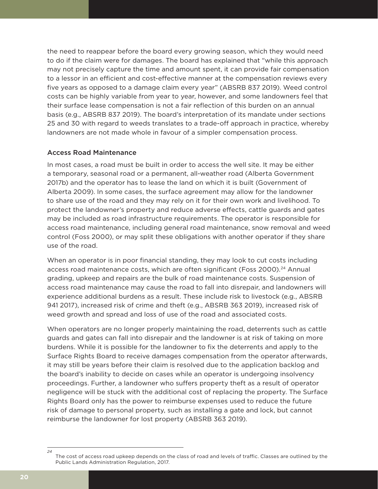the need to reappear before the board every growing season, which they would need to do if the claim were for damages. The board has explained that "while this approach may not precisely capture the time and amount spent, it can provide fair compensation to a lessor in an efficient and cost-effective manner at the compensation reviews every five years as opposed to a damage claim every year" (ABSRB 837 2019). Weed control costs can be highly variable from year to year, however, and some landowners feel that their surface lease compensation is not a fair reflection of this burden on an annual basis (e.g., ABSRB 837 2019). The board's interpretation of its mandate under sections 25 and 30 with regard to weeds translates to a trade-off approach in practice, whereby landowners are not made whole in favour of a simpler compensation process.

### Access Road Maintenance

In most cases, a road must be built in order to access the well site. It may be either a temporary, seasonal road or a permanent, all-weather road (Alberta Government [2017b](https://open.alberta.ca/dataset/6f05d13d-78da-49a9-8224-562d31ddcecb/resource/5bd53ba7-dc28-4268-af4c-a215b1734819/download/plar-tablea2-nov03-2017.pdf)) and the operator has to lease the land on which it is built [\(Government of](https://open.alberta.ca/dataset/f5b028c8-c5c3-410d-a2ec-b5936ef53881/resource/5adf7a28-8949-4187-beb4-0dfd0d703538/download/2009-878-1.pdf)  [Alberta 2009](https://open.alberta.ca/dataset/f5b028c8-c5c3-410d-a2ec-b5936ef53881/resource/5adf7a28-8949-4187-beb4-0dfd0d703538/download/2009-878-1.pdf)). In some cases, the surface agreement may allow for the landowner to share use of the road and they may rely on it for their own work and livelihood. To protect the landowner's property and reduce adverse effects, cattle guards and gates may be included as road infrastructure requirements. The operator is responsible for access road maintenance, including general road maintenance, snow removal and weed control (Foss 2000), or may split these obligations with another operator if they share use of the road.

When an operator is in poor financial standing, they may look to cut costs including access road maintenance costs, which are often significant (Foss 2000).<sup>24</sup> Annual grading, upkeep and repairs are the bulk of road maintenance costs. Suspension of access road maintenance may cause the road to fall into disrepair, and landowners will experience additional burdens as a result. These include risk to livestock (e.g., ABSRB 941 2017), increased risk of crime and theft (e.g., ABSRB 363 [2019](https://www.canlii.org/en/ab/absrb/doc/2019/2019absrb363/2019absrb363.html?searchUrlHash=AAAAAQAVYWNjZXNzIHJvYWQgYW5kIHRoZWZ0AAAAAAE&resultIndex=2)), increased risk of weed growth and spread and loss of use of the road and associated costs.

When operators are no longer properly maintaining the road, deterrents such as cattle guards and gates can fall into disrepair and the landowner is at risk of taking on more burdens. While it is possible for the landowner to fix the deterrents and apply to the Surface Rights Board to receive damages compensation from the operator afterwards, it may still be years before their claim is resolved due to the application backlog and the board's inability to decide on cases while an operator is undergoing insolvency proceedings. Further, a landowner who suffers property theft as a result of operator negligence will be stuck with the additional cost of replacing the property. The Surface Rights Board only has the power to reimburse expenses used to reduce the future risk of damage to personal property, such as installing a gate and lock, but cannot reimburse the landowner for lost property (ABSRB 363 [2019\)](https://www.canlii.org/en/ab/absrb/doc/2019/2019absrb363/2019absrb363.html?searchUrlHash=AAAAAQAFdGhlZnQAAAAAAQ&resultIndex=5).

*<sup>24</sup>* The cost of access road upkeep depends on the class of road and levels of traffic. Classes are outlined by the Public Lands Administration Regulation, [2017.](https://open.alberta.ca/dataset/6f05d13d-78da-49a9-8224-562d31ddcecb/resource/5bd53ba7-dc28-4268-af4c-a215b1734819/download/plar-tablea2-nov03-2017.pdf)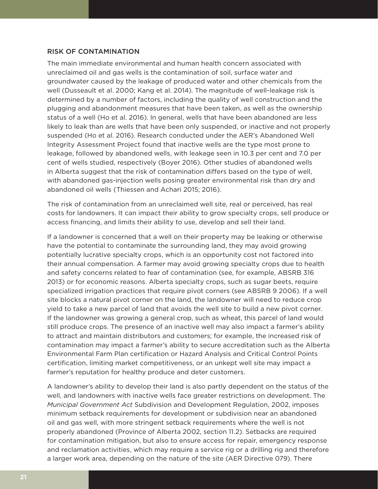### RISK OF CONTAMINATION

The main immediate environmental and human health concern associated with unreclaimed oil and gas wells is the contamination of soil, surface water and groundwater caused by the leakage of produced water and other chemicals from the well (Dusseault et al. 2000; [Kang et al. 2014\)](https://www.pnas.org/content/pnas/111/51/18173.full.pdf). The magnitude of well-leakage risk is determined by a number of factors, including the quality of well construction and the plugging and abandonment measures that have been taken, as well as the ownership status of a well (Ho et al. 2016). In general, wells that have been abandoned are less likely to leak than are wells that have been only suspended, or inactive and not properly suspended (Ho et al. 2016). Research conducted under the AER's Abandoned Well Integrity Assessment Project found that inactive wells are the type most prone to leakage, followed by abandoned wells, with leakage seen in 10.3 per cent and 7.0 per cent of wells studied, respectively (Boyer 2016). Other studies of abandoned wells in Alberta suggest that the risk of contamination differs based on the type of well, with abandoned gas-injection wells posing greater environmental risk than dry and abandoned oil wells (Thiessen and Achari 2015; 2016).

The risk of contamination from an unreclaimed well site, real or perceived, has real costs for landowners. It can impact their ability to grow specialty crops, sell produce or access financing, and limits their ability to use, develop and sell their land.

If a landowner is concerned that a well on their property may be leaking or otherwise have the potential to contaminate the surrounding land, they may avoid growing potentially lucrative specialty crops, which is an opportunity cost not factored into their annual compensation. A farmer may avoid growing specialty crops due to health and safety concerns related to fear of contamination (see, for example, ABSRB 316 2013) or for economic reasons. Alberta specialty crops, such as sugar beets, require specialized irrigation practices that require pivot corners (see ABSRB 9 2006). If a well site blocks a natural pivot corner on the land, the landowner will need to reduce crop yield to take a new parcel of land that avoids the well site to build a new pivot corner. If the landowner was growing a general crop, such as wheat, this parcel of land would still produce crops. The presence of an inactive well may also impact a farmer's ability to attract and maintain distributors and customers; for example, the increased risk of contamination may impact a farmer's ability to secure accreditation such as the Alberta Environmental Farm Plan certification or Hazard Analysis and Critical Control Points certification, limiting market competitiveness, or an unkept well site may impact a farmer's reputation for healthy produce and deter customers.

A landowner's ability to develop their land is also partly dependent on the status of the well, and landowners with inactive wells face greater restrictions on development. The *Municipal Government Act* Subdivision and Development Regulation, 2002, imposes minimum setback requirements for development or subdivision near an abandoned oil and gas well, with more stringent setback requirements where the well is not properly abandoned (Province of Alberta 2002, section 11.2). Setbacks are required for contamination mitigation, but also to ensure access for repair, emergency response and reclamation activities, which may require a service rig or a drilling rig and therefore a larger work area, depending on the nature of the site (AER Directive 079). There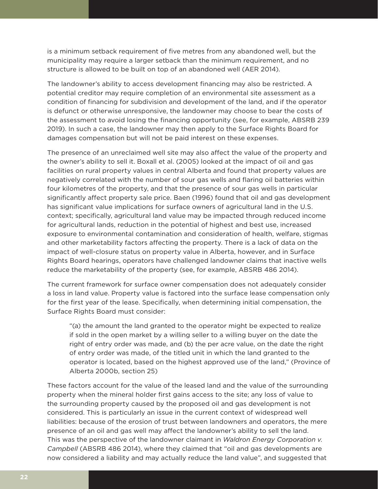is a minimum setback requirement of five metres from any abandoned well, but the municipality may require a larger setback than the minimum requirement, and no structure is allowed to be built on top of an abandoned well (AER [2014\)](https://www.aer.ca/documents/directives/Directive079.pdf).

The landowner's ability to access development financing may also be restricted. A potential creditor may require completion of an environmental site assessment as a condition of financing for subdivision and development of the land, and if the operator is defunct or otherwise unresponsive, the landowner may choose to bear the costs of the assessment to avoid losing the financing opportunity (see, for example, [ABSRB 239](http://canlii.ca/t/j03c9)  [2019\)](http://canlii.ca/t/j03c9). In such a case, the landowner may then apply to the Surface Rights Board for damages compensation but will not be paid interest on these expenses.

The presence of an unreclaimed well site may also affect the value of the property and the owner's ability to sell it. Boxall et al. (2005) looked at the impact of oil and gas facilities on rural property values in central Alberta and found that property values are negatively correlated with the number of sour gas wells and flaring oil batteries within four kilometres of the property, and that the presence of sour gas wells in particular significantly affect property sale price. Baen ([1996\)](http://search.proquest.com/openview/c461da236bb12cbc1dad20856366bb61/1?pq-origsite=gscholar&cbl=35147&casa_token=JKvZw19xoF8AAAAA:nzU-l1l2GorY696qqE_nqb6yNViyU600y-xMrJWwSfYtfO1VhyoJc6bYITkpYWJpbtZN2os) found that oil and gas development has significant value implications for surface owners of agricultural land in the U.S. context; specifically, agricultural land value may be impacted through reduced income for agricultural lands, reduction in the potential of highest and best use, increased exposure to environmental contamination and consideration of health, welfare, stigmas and other marketability factors affecting the property. There is a lack of data on the impact of well-closure status on property value in Alberta, however, and in Surface Rights Board hearings, operators have challenged landowner claims that inactive wells reduce the marketability of the property (see, for example, ABSRB 486 2014).

The current framework for surface owner compensation does not adequately consider a loss in land value. Property value is factored into the surface lease compensation only for the first year of the lease. Specifically, when determining initial compensation, the Surface Rights Board must consider:

"(a) the amount the land granted to the operator might be expected to realize if sold in the open market by a willing seller to a willing buyer on the date the right of entry order was made, and (b) the per acre value, on the date the right of entry order was made, of the titled unit in which the land granted to the operator is located, based on the highest approved use of the land," (Province of Alberta 2000b, section 25)

These factors account for the value of the leased land and the value of the surrounding property when the mineral holder first gains access to the site; any loss of value to the surrounding property caused by the proposed oil and gas development is not considered. This is particularly an issue in the current context of widespread well liabilities: because of the erosion of trust between landowners and operators, the mere presence of an oil and gas well may affect the landowner's ability to sell the land. This was the perspective of the landowner claimant in *Waldron Energy Corporation v. Campbell* (ABSRB 486 2014), where they claimed that "oil and gas developments are now considered a liability and may actually reduce the land value", and suggested that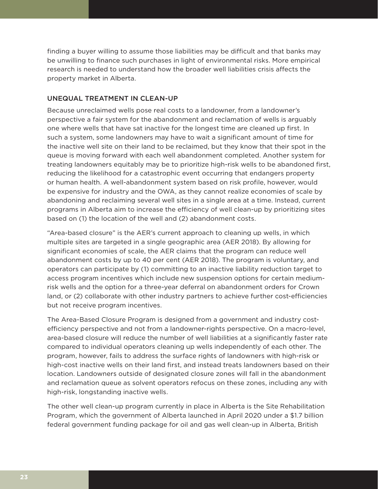finding a buyer willing to assume those liabilities may be difficult and that banks may be unwilling to finance such purchases in light of environmental risks. More empirical research is needed to understand how the broader well liabilities crisis affects the property market in Alberta.

### UNEQUAL TREATMENT IN CLEAN-UP

Because unreclaimed wells pose real costs to a landowner, from a landowner's perspective a fair system for the abandonment and reclamation of wells is arguably one where wells that have sat inactive for the longest time are cleaned up first. In such a system, some landowners may have to wait a significant amount of time for the inactive well site on their land to be reclaimed, but they know that their spot in the queue is moving forward with each well abandonment completed. Another system for treating landowners equitably may be to prioritize high-risk wells to be abandoned first, reducing the likelihood for a catastrophic event occurring that endangers property or human health. A well-abandonment system based on risk profile, however, would be expensive for industry and the OWA, as they cannot realize economies of scale by abandoning and reclaiming several well sites in a single area at a time. Instead, current programs in Alberta aim to increase the efficiency of well clean-up by prioritizing sites based on (1) the location of the well and (2) abandonment costs.

"Area-based closure" is the AER's current approach to cleaning up wells, in which multiple sites are targeted in a single geographic area [\(AER 2018](https://www.youtube.com/watch?v=gIfsYvnW7js)). By allowing for significant economies of scale, the AER claims that the program can reduce well abandonment costs by up to 40 per cent [\(AER 2018\)](https://www.youtube.com/watch?v=gIfsYvnW7js). The program is voluntary, and operators can participate by (1) committing to an inactive liability reduction target to access program incentives which include new suspension options for certain mediumrisk wells and the option for a three-year deferral on abandonment orders for Crown land, or (2) collaborate with other industry partners to achieve further cost-efficiencies but not receive program incentives.

The Area-Based Closure Program is designed from a government and industry costefficiency perspective and not from a landowner-rights perspective. On a macro-level, area-based closure will reduce the number of well liabilities at a significantly faster rate compared to individual operators cleaning up wells independently of each other. The program, however, fails to address the surface rights of landowners with high-risk or high-cost inactive wells on their land first, and instead treats landowners based on their location. Landowners outside of designated closure zones will fall in the abandonment and reclamation queue as solvent operators refocus on these zones, including any with high-risk, longstanding inactive wells.

The other well clean-up program currently in place in Alberta is the Site Rehabilitation Program, which the government of Alberta launched in April 2020 under a \$1.7 billion federal government funding package for oil and gas well clean-up in Alberta, British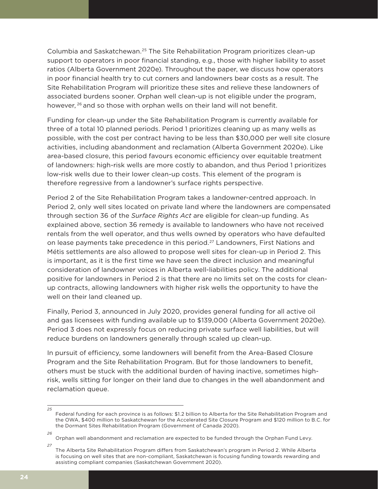Columbia and Saskatchewan.25 The Site Rehabilitation Program prioritizes clean-up support to operators in poor financial standing, e.g., those with higher liability to asset ratios [\(Alberta Government 2020e](https://www.alberta.ca/assets/documents/energy-site-rehabilitation-program-guidelines.pdf)). Throughout the paper, we discuss how operators in poor financial health try to cut corners and landowners bear costs as a result. The Site Rehabilitation Program will prioritize these sites and relieve these landowners of associated burdens sooner. Orphan well clean-up is not eligible under the program, however, <sup>26</sup> and so those with orphan wells on their land will not benefit.

Funding for clean-up under the Site Rehabilitation Program is currently available for three of a total 10 planned periods. Period 1 prioritizes cleaning up as many wells as possible, with the cost per contract having to be less than \$30,000 per well site closure activities, including abandonment and reclamation [\(Alberta Government 2020e](https://www.alberta.ca/assets/documents/energy-site-rehabilitation-program-guidelines.pdf)). Like area-based closure, this period favours economic efficiency over equitable treatment of landowners: high-risk wells are more costly to abandon, and thus Period 1 prioritizes low-risk wells due to their lower clean-up costs. This element of the program is therefore regressive from a landowner's surface rights perspective.

Period 2 of the Site Rehabilitation Program takes a landowner-centred approach. In Period 2, only well sites located on private land where the landowners are compensated through section 36 of the *Surface Rights Act* are eligible for clean-up funding. As explained above, section 36 remedy is available to landowners who have not received rentals from the well operator, and thus wells owned by operators who have defaulted on lease payments take precedence in this period.<sup>27</sup> Landowners, First Nations and Métis settlements are also allowed to propose well sites for clean-up in Period 2. This is important, as it is the first time we have seen the direct inclusion and meaningful consideration of landowner voices in Alberta well-liabilities policy. The additional positive for landowners in Period 2 is that there are no limits set on the costs for cleanup contracts, allowing landowners with higher risk wells the opportunity to have the well on their land cleaned up.

Finally, Period 3, announced in July 2020, provides general funding for all active oil and gas licensees with funding available up to \$139,000 [\(Alberta Government 2020e](https://www.alberta.ca/assets/documents/energy-site-rehabilitation-program-guidelines.pdf)). Period 3 does not expressly focus on reducing private surface well liabilities, but will reduce burdens on landowners generally through scaled up clean-up.

In pursuit of efficiency, some landowners will benefit from the Area-Based Closure Program and the Site Rehabilitation Program. But for those landowners to benefit, others must be stuck with the additional burden of having inactive, sometimes highrisk, wells sitting for longer on their land due to changes in the well abandonment and reclamation queue.

*26*

Federal funding for each province is as follows: \$1.2 billion to Alberta for the Site Rehabilitation Program and the OWA, \$400 million to Saskatchewan for the Accelerated Site Closure Program and \$120 million to B.C. for the Dormant Sites Rehabilitation Program (Government of [Canada 2020\)](https://www.canada.ca/en/department-finance/news/2020/04/canadas-covid-19-economic-response-plan-new-support-to-protect-canadian-jobs.html).

Orphan well abandonment and reclamation are expected to be funded through the Orphan Fund Levy.

*<sup>27</sup>* The Alberta Site Rehabilitation Program differs from Saskatchewan's program in Period 2. While Alberta is focusing on well sites that are non-compliant, Saskatchewan is focusing funding towards rewarding and assisting compliant companies [\(Saskatchewan Government 2020](https://www.saskatchewan.ca/business/agriculture-natural-resources-and-industry/oil-and-gas/accelerated-site-closure-program)).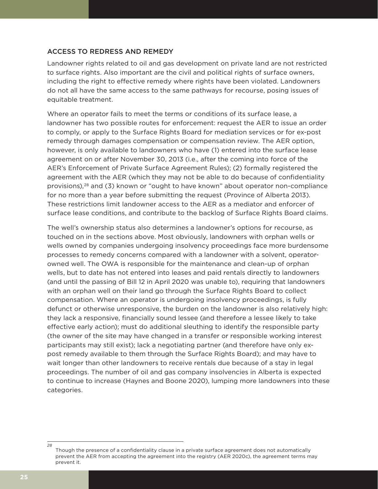### ACCESS TO REDRESS AND REMEDY

Landowner rights related to oil and gas development on private land are not restricted to surface rights. Also important are the civil and political rights of surface owners, including the right to effective remedy where rights have been violated. Landowners do not all have the same access to the same pathways for recourse, posing issues of equitable treatment.

Where an operator fails to meet the terms or conditions of its surface lease, a landowner has two possible routes for enforcement: request the AER to issue an order to comply, or apply to the Surface Rights Board for mediation services or for ex-post remedy through damages compensation or compensation review. The AER option, however, is only available to landowners who have (1) entered into the surface lease agreement on or after November 30, 2013 (i.e., after the coming into force of the AER's Enforcement of Private Surface Agreement Rules); (2) formally registered the agreement with the AER (which they may not be able to do because of confidentiality provisions),<sup>28</sup> and (3) known or "ought to have known" about operator non-compliance for no more than a year before submitting the request (Province of Alberta 2013). These restrictions limit landowner access to the AER as a mediator and enforcer of surface lease conditions, and contribute to the backlog of Surface Rights Board claims.

The well's ownership status also determines a landowner's options for recourse, as touched on in the sections above. Most obviously, landowners with orphan wells or wells owned by companies undergoing insolvency proceedings face more burdensome processes to remedy concerns compared with a landowner with a solvent, operatorowned well. The OWA is responsible for the maintenance and clean-up of orphan wells, but to date has not entered into leases and paid rentals directly to landowners (and until the passing of Bill 12 in April 2020 was unable to), requiring that landowners with an orphan well on their land go through the Surface Rights Board to collect compensation. Where an operator is undergoing insolvency proceedings, is fully defunct or otherwise unresponsive, the burden on the landowner is also relatively high: they lack a responsive, financially sound lessee (and therefore a lessee likely to take effective early action); must do additional sleuthing to identify the responsible party (the owner of the site may have changed in a transfer or responsible working interest participants may still exist); lack a negotiating partner (and therefore have only expost remedy available to them through the Surface Rights Board); and may have to wait longer than other landowners to receive rentals due because of a stay in legal proceedings. The number of oil and gas company insolvencies in Alberta is expected to continue to increase ([Haynes and Boone 2020\)](https://www.haynesboone.com/publications/energy-bankruptcy-monitors-and-surveys), lumping more landowners into these categories.

*<sup>28</sup>* Though the presence of a confidentiality clause in a private surface agreement does not automatically prevent the AER from accepting the agreement into the registry (AER 2020c), the agreement terms may prevent it.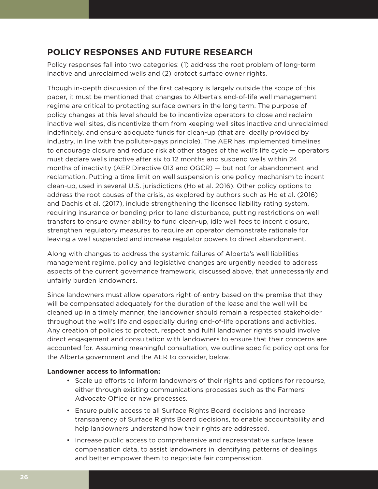# **POLICY RESPONSES AND FUTURE RESEARCH**

Policy responses fall into two categories: (1) address the root problem of long-term inactive and unreclaimed wells and (2) protect surface owner rights.

Though in-depth discussion of the first category is largely outside the scope of this paper, it must be mentioned that changes to Alberta's end-of-life well management regime are critical to protecting surface owners in the long term. The purpose of policy changes at this level should be to incentivize operators to close and reclaim inactive well sites, disincentivize them from keeping well sites inactive and unreclaimed indefinitely, and ensure adequate funds for clean-up (that are ideally provided by industry, in line with the polluter-pays principle). The AER has implemented timelines to encourage closure and reduce risk at other stages of the well's life cycle — operators must declare wells inactive after six to 12 months and suspend wells within 24 months of inactivity (AER Directive 013 and OGCR) — but not for abandonment and reclamation. Putting a time limit on well suspension is one policy mechanism to incent clean-up, used in several U.S. jurisdictions (Ho et al. 2016). Other policy options to address the root causes of the crisis, as explored by authors such as Ho et al. (2016) and Dachis et al. (2017), include strengthening the licensee liability rating system, requiring insurance or bonding prior to land disturbance, putting restrictions on well transfers to ensure owner ability to fund clean-up, idle well fees to incent closure, strengthen regulatory measures to require an operator demonstrate rationale for leaving a well suspended and increase regulator powers to direct abandonment.

Along with changes to address the systemic failures of Alberta's well liabilities management regime, policy and legislative changes are urgently needed to address aspects of the current governance framework, discussed above, that unnecessarily and unfairly burden landowners.

Since landowners must allow operators right-of-entry based on the premise that they will be compensated adequately for the duration of the lease and the well will be cleaned up in a timely manner, the landowner should remain a respected stakeholder throughout the well's life and especially during end-of-life operations and activities. Any creation of policies to protect, respect and fulfil landowner rights should involve direct engagement and consultation with landowners to ensure that their concerns are accounted for. Assuming meaningful consultation, we outline specific policy options for the Alberta government and the AER to consider, below.

### **Landowner access to information:**

- Scale up efforts to inform landowners of their rights and options for recourse, either through existing communications processes such as the Farmers' Advocate Office or new processes.
- Ensure public access to all Surface Rights Board decisions and increase transparency of Surface Rights Board decisions, to enable accountability and help landowners understand how their rights are addressed.
- Increase public access to comprehensive and representative surface lease compensation data, to assist landowners in identifying patterns of dealings and better empower them to negotiate fair compensation.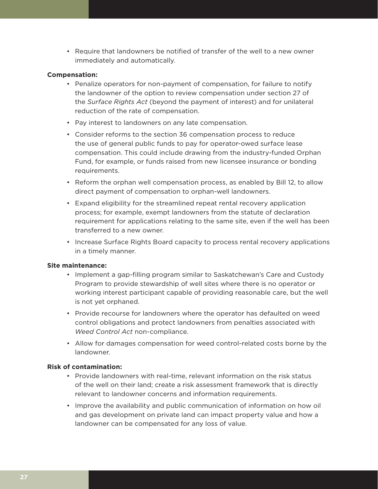• Require that landowners be notified of transfer of the well to a new owner immediately and automatically.

### **Compensation:**

- Penalize operators for non-payment of compensation, for failure to notify the landowner of the option to review compensation under section 27 of the *Surface Rights Act* (beyond the payment of interest) and for unilateral reduction of the rate of compensation.
- Pay interest to landowners on any late compensation.
- Consider reforms to the section 36 compensation process to reduce the use of general public funds to pay for operator-owed surface lease compensation. This could include drawing from the industry-funded Orphan Fund, for example, or funds raised from new licensee insurance or bonding requirements.
- Reform the orphan well compensation process, as enabled by Bill 12, to allow direct payment of compensation to orphan-well landowners.
- Expand eligibility for the streamlined repeat rental recovery application process; for example, exempt landowners from the statute of declaration requirement for applications relating to the same site, even if the well has been transferred to a new owner.
- Increase Surface Rights Board capacity to process rental recovery applications in a timely manner.

### **Site maintenance:**

- Implement a gap-filling program similar to Saskatchewan's Care and Custody Program to provide stewardship of well sites where there is no operator or working interest participant capable of providing reasonable care, but the well is not yet orphaned.
- Provide recourse for landowners where the operator has defaulted on weed control obligations and protect landowners from penalties associated with *Weed Control Act* non-compliance.
- Allow for damages compensation for weed control-related costs borne by the landowner.

### **Risk of contamination:**

- Provide landowners with real-time, relevant information on the risk status of the well on their land; create a risk assessment framework that is directly relevant to landowner concerns and information requirements.
- Improve the availability and public communication of information on how oil and gas development on private land can impact property value and how a landowner can be compensated for any loss of value.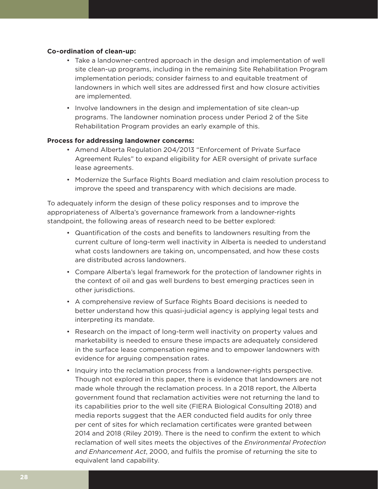### **Co-ordination of clean-up:**

- Take a landowner-centred approach in the design and implementation of well site clean-up programs, including in the remaining Site Rehabilitation Program implementation periods; consider fairness to and equitable treatment of landowners in which well sites are addressed first and how closure activities are implemented.
- Involve landowners in the design and implementation of site clean-up programs. The landowner nomination process under Period 2 of the Site Rehabilitation Program provides an early example of this.

### **Process for addressing landowner concerns:**

- Amend Alberta Regulation 204/2013 "Enforcement of Private Surface Agreement Rules" to expand eligibility for AER oversight of private surface lease agreements.
- Modernize the Surface Rights Board mediation and claim resolution process to improve the speed and transparency with which decisions are made.

To adequately inform the design of these policy responses and to improve the appropriateness of Alberta's governance framework from a landowner-rights standpoint, the following areas of research need to be better explored:

- Quantification of the costs and benefits to landowners resulting from the current culture of long-term well inactivity in Alberta is needed to understand what costs landowners are taking on, uncompensated, and how these costs are distributed across landowners.
- Compare Alberta's legal framework for the protection of landowner rights in the context of oil and gas well burdens to best emerging practices seen in other jurisdictions.
- A comprehensive review of Surface Rights Board decisions is needed to better understand how this quasi-judicial agency is applying legal tests and interpreting its mandate.
- Research on the impact of long-term well inactivity on property values and marketability is needed to ensure these impacts are adequately considered in the surface lease compensation regime and to empower landowners with evidence for arguing compensation rates.
- Inquiry into the reclamation process from a landowner-rights perspective. Though not explored in this paper, there is evidence that landowners are not made whole through the reclamation process. In a 2018 report, the Alberta government found that reclamation activities were not returning the land to its capabilities prior to the well site (FIERA Biological Consultin[g 2018\)](https://www.scribd.com/document/443631534/Draft-Report-An-Evaluation-of-Alberta-s-Land-Reclamation-Program) and media reports suggest that the AER conducted field audits for only three per cent of sites for which reclamation certificates were granted between 2014 and 2018 (Rile[y 2019\)](https://thenarwhal.ca/alberta-issues-97-of-reclamation-certificates-without-ever-visiting-oil-and-gas-sites/). There is the need to confirm the extent to which reclamation of well sites meets the objectives of the *Environmental Protection and Enhancement Act*, 2000, and fulfils the promise of returning the site to equivalent land capability.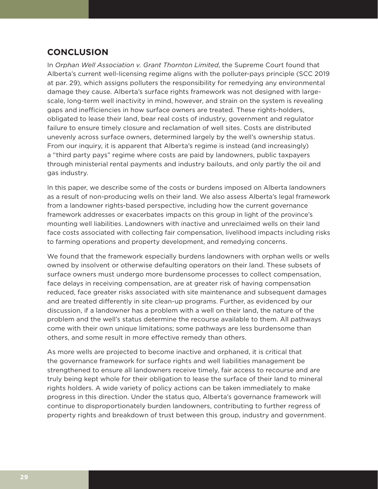# **CONCLUSION**

In *Orphan Well Association v. Grant Thornton Limited*, the Supreme Court found that Alberta's current well-licensing regime aligns with the polluter-pays principle [\(SCC 2019](https://scc-csc.lexum.com/scc-csc/scc-csc/en/item/17474/index.do)  [at par. 29](https://scc-csc.lexum.com/scc-csc/scc-csc/en/item/17474/index.do)), which assigns polluters the responsibility for remedying any environmental damage they cause. Alberta's surface rights framework was not designed with largescale, long-term well inactivity in mind, however, and strain on the system is revealing gaps and inefficiencies in how surface owners are treated. These rights-holders, obligated to lease their land, bear real costs of industry, government and regulator failure to ensure timely closure and reclamation of well sites. Costs are distributed unevenly across surface owners, determined largely by the well's ownership status. From our inquiry, it is apparent that Alberta's regime is instead (and increasingly) a "third party pays" regime where costs are paid by landowners, public taxpayers through ministerial rental payments and industry bailouts, and only partly the oil and gas industry.

In this paper, we describe some of the costs or burdens imposed on Alberta landowners as a result of non-producing wells on their land. We also assess Alberta's legal framework from a landowner rights-based perspective, including how the current governance framework addresses or exacerbates impacts on this group in light of the province's mounting well liabilities. Landowners with inactive and unreclaimed wells on their land face costs associated with collecting fair compensation, livelihood impacts including risks to farming operations and property development, and remedying concerns.

We found that the framework especially burdens landowners with orphan wells or wells owned by insolvent or otherwise defaulting operators on their land. These subsets of surface owners must undergo more burdensome processes to collect compensation, face delays in receiving compensation, are at greater risk of having compensation reduced, face greater risks associated with site maintenance and subsequent damages and are treated differently in site clean-up programs. Further, as evidenced by our discussion, if a landowner has a problem with a well on their land, the nature of the problem and the well's status determine the recourse available to them. All pathways come with their own unique limitations; some pathways are less burdensome than others, and some result in more effective remedy than others.

As more wells are projected to become inactive and orphaned, it is critical that the governance framework for surface rights and well liabilities management be strengthened to ensure all landowners receive timely, fair access to recourse and are truly being kept whole for their obligation to lease the surface of their land to mineral rights holders. A wide variety of policy actions can be taken immediately to make progress in this direction. Under the status quo, Alberta's governance framework will continue to disproportionately burden landowners, contributing to further regress of property rights and breakdown of trust between this group, industry and government.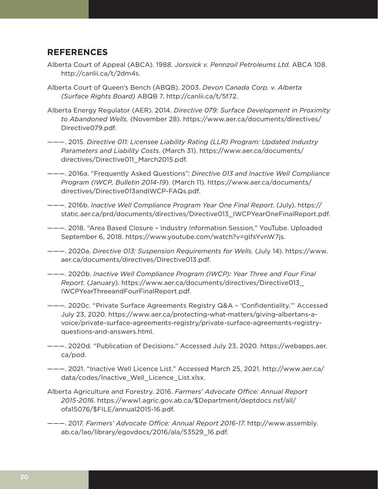## **REFERENCES**

- Alberta Court of Appeal (ABCA). 1988. *Jorsvick v. Pennzoil Petroleums Ltd.* ABCA 108. <http://canlii.ca/t/2dm4s>.
- Alberta Court of Queen's Bench (ABQB). 2003. *Devon Canada Corp. v. Alberta (Surface Rights Board)* ABQB 7. <http://canlii.ca/t/5f72>.
- Alberta Energy Regulator (AER). 2014. *Directive 079: Surface Development in Proximity to Abandoned Wells.* (November 28). [https://www.aer.ca/documents/directives/](https://www.aer.ca/documents/directives/Directive079.pdf) [Directive079.pdf](https://www.aer.ca/documents/directives/Directive079.pdf).
- ———. 2015. *Directive 011: Licensee Liability Rating (LLR) Program: Updated Industry Parameters and Liability Costs*. (March 31). [https://www.aer.ca/documents/](https://www.aer.ca/documents/directives/Directive011_March2015.pdf) [directives/Directive011\\_March2015.pdf.](https://www.aer.ca/documents/directives/Directive011_March2015.pdf)
- ———. 2016a. "Frequently Asked Questions"*: Directive 013 and Inactive Well Compliance Program (IWCP, Bulletin 2014-19*). (March 11). [https://www.aer.ca/documents/](https://www.aer.ca/documents/directives/Directive013andIWCP-FAQs.pdf) [directives/Directive013andIWCP-FAQs.pdf](https://www.aer.ca/documents/directives/Directive013andIWCP-FAQs.pdf).
- ———. 2016b. *Inactive Well Compliance Program Year One Final Report*. (July). https:// static.aer.ca/prd/documents/directives/Directive013\_IWCPYearOneFinalReport.pdf.
- ———. 2018. "Area Based Closure Industry Information Session." YouTube. Uploaded September 6, 2018.<https://www.youtube.com/watch?v=gIfsYvnW7js>.
- ———. 2020a. *Directive 013: Suspension Requirements for Wells*. (July 14). [https://www.](https://www.aer.ca/documents/directives/Directive013.pdf) [aer.ca/documents/directives/Directive013.pdf](https://www.aer.ca/documents/directives/Directive013.pdf).
- ———. 2020b. *Inactive Well Compliance Program (IWCP): Year Three and Four Final Report.* (January). [https://www.aer.ca/documents/directives/Directive013\\_](https://www.aer.ca/documents/directives/Directive013_IWCPYearThreeandFourFinalReport.pdf) [IWCPYearThreeandFourFinalReport.pdf](https://www.aer.ca/documents/directives/Directive013_IWCPYearThreeandFourFinalReport.pdf).
- ———. 2020c. "Private Surface Agreements Registry Q&A 'Confidentiality.'" Accessed July 23, 2020. [https://www.aer.ca/protecting-what-matters/giving-albertans-a](https://www.aer.ca/protecting-what-matters/giving-albertans-a-voice/private-surface-agreements-registry/private-surface-agreements-registry-questions-and-answers.html)[voice/private-surface-agreements-registry/private-surface-agreements-registry](https://www.aer.ca/protecting-what-matters/giving-albertans-a-voice/private-surface-agreements-registry/private-surface-agreements-registry-questions-and-answers.html)[questions-and-answers.html.](https://www.aer.ca/protecting-what-matters/giving-albertans-a-voice/private-surface-agreements-registry/private-surface-agreements-registry-questions-and-answers.html)
- ———. 2020d. "Publication of Decisions." Accessed July 23, 2020. [https://webapps.aer.](https://webapps.aer.ca/pod) [ca/pod](https://webapps.aer.ca/pod).
- ———. 2021. "Inactive Well Licence List." Accessed March 25, 2021. [http://www.aer.ca/](http://www.aer.ca/data/codes/Inactive_Well_Licence_List.xlsx) [data/codes/Inactive\\_Well\\_Licence\\_List.xlsx](http://www.aer.ca/data/codes/Inactive_Well_Licence_List.xlsx).
- Alberta Agriculture and Forestry. 2016. *Farmers' Advocate Office: Annual Report 2015-2016*. [https://www1.agric.gov.ab.ca/\\$Department/deptdocs.nsf/all/](https://www1.agric.gov.ab.ca/$Department/deptdocs.nsf/all/ofa15076/$FILE/annual2015-16.pdf) [ofa15076/\\$FILE/annual2015-16.pdf](https://www1.agric.gov.ab.ca/$Department/deptdocs.nsf/all/ofa15076/$FILE/annual2015-16.pdf).
- ———. 2017. *Farmers' Advocate Office: Annual Report 2016-17*. [http://www.assembly.](http://www.assembly.ab.ca/lao/library/egovdocs/2016/ala/53529_16.pdf) [ab.ca/lao/library/egovdocs/2016/ala/53529\\_16.pdf.](http://www.assembly.ab.ca/lao/library/egovdocs/2016/ala/53529_16.pdf)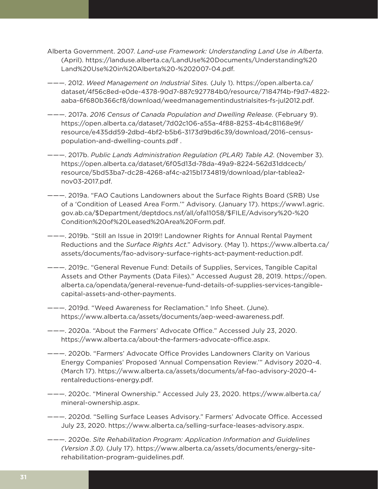- Alberta Government. 2007. *Land-use Framework: Understanding Land Use in Alberta*. (April). [https://landuse.alberta.ca/LandUse%20Documents/Understanding%20](https://landuse.alberta.ca/LandUse%20Documents/Understanding%20Land%20Use%20in%20Alberta%20-%202007-04.pdf) [Land%20Use%20in%20Alberta%20-%202007-04.pdf.](https://landuse.alberta.ca/LandUse%20Documents/Understanding%20Land%20Use%20in%20Alberta%20-%202007-04.pdf)
- ———. 2012. *Weed Management on Industrial Sites.* (July 1). https://open.alberta.ca/ dataset/4f56c8ed-e0de-4378-90d7-887c927784b0/resource/71847f4b-f9d7-4822 aaba-6f680b366cf8/download/weedmanagementindustrialsites-fs-jul2012.pdf.
- ———. 2017a. *2016 Census of Canada Population and Dwelling Release*. (February 9). https://open.alberta.ca/dataset/7d02c106-a55a-4f88-8253-4b4c81168e9f/ resource/e435dd59-2dbd-4bf2-b5b6-3173d9bd6c39/download/2016-censuspopulation-and-dwelling-counts.pdf .
- ———. 2017b. *Public Lands Administration Regulation (PLAR) Table A2*. (November 3). [https://open.alberta.ca/dataset/6f05d13d-78da-49a9-8224-562d31ddcecb/](https://open.alberta.ca/dataset/6f05d13d-78da-49a9-8224-562d31ddcecb/resource/5bd53ba7-dc28-4268-af4c-a215b1734819/download/plar-tablea2-nov03-2017.pdf) [resource/5bd53ba7-dc28-4268-af4c-a215b1734819/download/plar-tablea2](https://open.alberta.ca/dataset/6f05d13d-78da-49a9-8224-562d31ddcecb/resource/5bd53ba7-dc28-4268-af4c-a215b1734819/download/plar-tablea2-nov03-2017.pdf) [nov03-2017.pdf](https://open.alberta.ca/dataset/6f05d13d-78da-49a9-8224-562d31ddcecb/resource/5bd53ba7-dc28-4268-af4c-a215b1734819/download/plar-tablea2-nov03-2017.pdf).
- ———. 2019a. "FAO Cautions Landowners about the Surface Rights Board (SRB) Use of a 'Condition of Leased Area Form.'" Advisory. (January 17). [https://www1.agric.](https://www1.agric.gov.ab.ca/$Department/deptdocs.nsf/all/ofa11058/$FILE/Advisory%20-%20Condition%20of%20Leased%20Area%20Form.pdf) [gov.ab.ca/\\$Department/deptdocs.nsf/all/ofa11058/\\$FILE/Advisory%20-%20](https://www1.agric.gov.ab.ca/$Department/deptdocs.nsf/all/ofa11058/$FILE/Advisory%20-%20Condition%20of%20Leased%20Area%20Form.pdf) [Condition%20of%20Leased%20Area%20Form.pdf](https://www1.agric.gov.ab.ca/$Department/deptdocs.nsf/all/ofa11058/$FILE/Advisory%20-%20Condition%20of%20Leased%20Area%20Form.pdf).
- ———. 2019b. "Still an Issue in 2019!! Landowner Rights for Annual Rental Payment Reductions and the *Surface Rights Act*." Advisory. (May 1). [https://www.alberta.ca/](https://www.alberta.ca/assets/documents/fao-advisory-surface-rights-act-payment-reduction.pdf) [assets/documents/fao-advisory-surface-rights-act-payment-reduction.pdf](https://www.alberta.ca/assets/documents/fao-advisory-surface-rights-act-payment-reduction.pdf).
- ———. 2019c. "General Revenue Fund: Details of Supplies, Services, Tangible Capital Assets and Other Payments (Data Files)." Accessed August 28, 2019. [https://open.](https://open.alberta.ca/opendata/general-revenue-fund-details-of-supplies-services-tangible-capital-assets-and-other-payments) [alberta.ca/opendata/general-revenue-fund-details-of-supplies-services-tangible](https://open.alberta.ca/opendata/general-revenue-fund-details-of-supplies-services-tangible-capital-assets-and-other-payments)[capital-assets-and-other-payments.](https://open.alberta.ca/opendata/general-revenue-fund-details-of-supplies-services-tangible-capital-assets-and-other-payments)
- ———. 2019d. "Weed Awareness for Reclamation." Info Sheet. (June). [https://www.alberta.ca/assets/documents/aep-weed-awareness.pdf.](https://www.alberta.ca/assets/documents/aep-weed-awareness.pdf)
- ———. 2020a. "About the Farmers' Advocate Office." Accessed July 23, 2020. [https://www.alberta.ca/about-the-farmers-advocate-office.aspx.](https://www.alberta.ca/about-the-farmers-advocate-office.aspx)
- ———. 2020b. "Farmers' Advocate Office Provides Landowners Clarity on Various Energy Companies' Proposed 'Annual Compensation Review.'" Advisory 2020-4. (March 17). [https://www.alberta.ca/assets/documents/af-fao-advisory-2020-4](https://www.alberta.ca/assets/documents/af-fao-advisory-2020-4-rentalreductions-energy.pdf) [rentalreductions-energy.pdf](https://www.alberta.ca/assets/documents/af-fao-advisory-2020-4-rentalreductions-energy.pdf).
- ———. 2020c. "Mineral Ownership." Accessed July 23, 2020. [https://www.alberta.ca/](https://www.alberta.ca/mineral-ownership.aspx) [mineral-ownership.aspx.](https://www.alberta.ca/mineral-ownership.aspx)
- ———. 2020d. "Selling Surface Leases Advisory." Farmers' Advocate Office. Accessed July 23, 2020. [https://www.alberta.ca/selling-surface-leases-advisory.aspx.](https://www.alberta.ca/selling-surface-leases-advisory.aspx)
- ———. 2020e. *Site Rehabilitation Program: Application Information and Guidelines (Version 3.0)*. (July 17). [https://www.alberta.ca/assets/documents/energy-site](https://www.alberta.ca/assets/documents/energy-site-rehabilitation-program-guidelines.pdf)[rehabilitation-program-guidelines.pdf](https://www.alberta.ca/assets/documents/energy-site-rehabilitation-program-guidelines.pdf).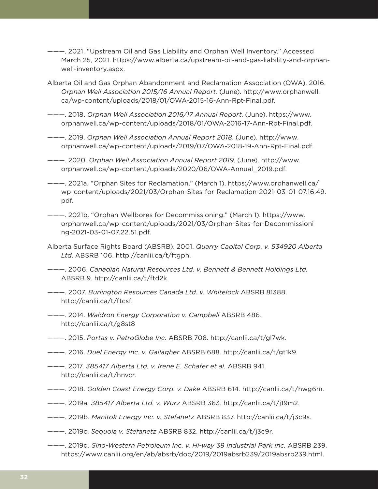- ———. 2021. "Upstream Oil and Gas Liability and Orphan Well Inventory." Accessed March 25, 2021. [https://www.alberta.ca/upstream-oil-and-gas-liability-and-orphan](https://www.alberta.ca/upstream-oil-and-gas-liability-and-orphan-well-inventory.aspx)[well-inventory.aspx.](https://www.alberta.ca/upstream-oil-and-gas-liability-and-orphan-well-inventory.aspx)
- Alberta Oil and Gas Orphan Abandonment and Reclamation Association (OWA). 2016. *Orphan Well Association 2015/16 Annual Report.* (June). [http://www.orphanwell.](http://www.orphanwell.ca/wp-content/uploads/2018/01/OWA-2015-16-Ann-Rpt-Final.pdf) [ca/wp-content/uploads/2018/01/OWA-2015-16-Ann-Rpt-Final.pdf.](http://www.orphanwell.ca/wp-content/uploads/2018/01/OWA-2015-16-Ann-Rpt-Final.pdf)
- ———. 2018. *Orphan Well Association 2016/17 Annual Report*. (June). [https://www.](https://www.orphanwell.ca/wp-content/uploads/2018/01/OWA-2016-17-Ann-Rpt-Final.pdf) [orphanwell.ca/wp-content/uploads/2018/01/OWA-2016-17-Ann-Rpt-Final.pdf](https://www.orphanwell.ca/wp-content/uploads/2018/01/OWA-2016-17-Ann-Rpt-Final.pdf).
- ———. 2019. *Orphan Well Association Annual Report 2018*. (June). [http://www.](http://www.orphanwell.ca/wp-content/uploads/2019/07/OWA-2018-19-Ann-Rpt-Final.pdf) [orphanwell.ca/wp-content/uploads/2019/07/OWA-2018-19-Ann-Rpt-Final.pdf.](http://www.orphanwell.ca/wp-content/uploads/2019/07/OWA-2018-19-Ann-Rpt-Final.pdf)
- ———. 2020. *Orphan Well Association Annual Report 2019*. (June). [http://www.](http://www.orphanwell.ca/wp-content/uploads/2020/06/OWA-Annual_2019.pdf) [orphanwell.ca/wp-content/uploads/2020/06/OWA-Annual\\_2019.pdf](http://www.orphanwell.ca/wp-content/uploads/2020/06/OWA-Annual_2019.pdf).
- ———. 2021a. "Orphan Sites for Reclamation." (March 1). [https://www.orphanwell.ca/](https://www.orphanwell.ca/wp-content/uploads/2021/03/Orphan-Sites-for-Reclamation-2021-03-01-07.16.49.pdf) [wp-content/uploads/2021/03/Orphan-Sites-for-Reclamation-2021-03-01-07.16.49.](https://www.orphanwell.ca/wp-content/uploads/2021/03/Orphan-Sites-for-Reclamation-2021-03-01-07.16.49.pdf) [pdf.](https://www.orphanwell.ca/wp-content/uploads/2021/03/Orphan-Sites-for-Reclamation-2021-03-01-07.16.49.pdf)
- ———. 2021b. "Orphan Wellbores for Decommissioning." (March 1). [https://www.](https://www.orphanwell.ca/wp-content/uploads/2021/03/Orphan-Sites-for-Decommissioning-2021-03-01-07.22.51.pdf) [orphanwell.ca/wp-content/uploads/2021/03/Orphan-Sites-for-Decommissioni](https://www.orphanwell.ca/wp-content/uploads/2021/03/Orphan-Sites-for-Decommissioning-2021-03-01-07.22.51.pdf) [ng-2021-03-01-07.22.51.pdf](https://www.orphanwell.ca/wp-content/uploads/2021/03/Orphan-Sites-for-Decommissioning-2021-03-01-07.22.51.pdf).
- Alberta Surface Rights Board (ABSRB). 2001. *Quarry Capital Corp. v. 534920 Alberta Ltd*. ABSRB 106. [http://canlii.ca/t/ftgph.](http://canlii.ca/t/ftgph)
- ———. 2006. *Canadian Natural Resources Ltd. v. Bennett & Bennett Holdings Ltd.*  ABSRB 9. http://canlii.ca/t/ftd2k.
- ———. 2007. *Burlington Resources Canada Ltd. v. Whitelock* ABSRB 81388. <http://canlii.ca/t/ftcsf>.
- ———. 2014. *Waldron Energy Corporation v. Campbell* ABSRB 486. <http://canlii.ca/t/g8st8>
- ———. 2015. *Portas v. PetroGlobe Inc.* ABSRB 708. [http://canlii.ca/t/gl7wk.](http://canlii.ca/t/gl7wk)
- ———. 2016. *Duel Energy Inc. v. Gallagher* ABSRB 688. [http://canlii.ca/t/gt1k9.](http://canlii.ca/t/gt1k9)
- ———. 2017. *385417 Alberta Ltd. v. Irene E. Schafer et al.* ABSRB 941. [http://canlii.ca/t/hnvcr.](http://canlii.ca/t/hnvcr)
- ———. 2018. *Golden Coast Energy Corp. v. Dake* ABSRB 614. [http://canlii.ca/t/hwg6m.](http://canlii.ca/t/hwg6m)
- ———. 2019a*. 385417 Alberta Ltd. v. Wurz* ABSRB 363. [http://canlii.ca/t/j19m2.](http://canlii.ca/t/j19m2)
- ———. 2019b. *Manitok Energy Inc. v. Stefanetz* ABSRB 837. <http://canlii.ca/t/j3c9s>.
- ———. 2019c. *Sequoia v. Stefanetz* ABSRB 832. [http://canlii.ca/t/j3c9r.](http://canlii.ca/t/j3c9r)
- ———. 2019d. *Sino-Western Petroleum Inc. v. Hi-way 39 Industrial Park Inc.* ABSRB 239. [https://www.canlii.org/en/ab/absrb/doc/2019/2019absrb239/2019absrb239.html.](https://www.canlii.org/en/ab/absrb/doc/2019/2019absrb239/2019absrb239.html)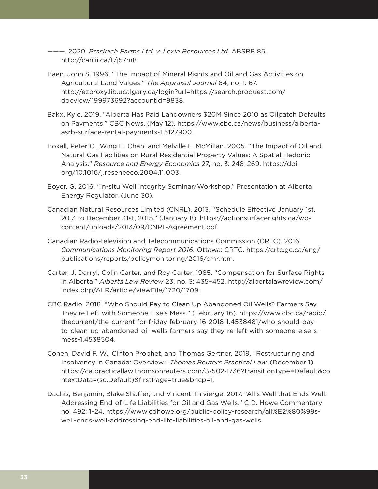- ———. 2020. *Praskach Farms Ltd. v. Lexin Resources Ltd.* ABSRB 85. [http://canlii.ca/t/j57m8.](http://canlii.ca/t/j57m8)
- Baen, John S. 1996. "The Impact of Mineral Rights and Oil and Gas Activities on Agricultural Land Values." *The Appraisal Journal* 64, no. 1: 67. http://ezproxy.lib.ucalgary.ca/login?url=https://search.proquest.com/ docview/199973692?accountid=9838.
- Bakx, Kyle. 2019. "Alberta Has Paid Landowners \$20M Since 2010 as Oilpatch Defaults on Payments." CBC News. (May 12). [https://www.cbc.ca/news/business/alberta](https://www.cbc.ca/news/business/alberta-asrb-surface-rental-payments-1.5127900)[asrb-surface-rental-payments-1.5127900.](https://www.cbc.ca/news/business/alberta-asrb-surface-rental-payments-1.5127900)
- Boxall, Peter C., Wing H. Chan, and Melville L. McMillan. 2005. "The Impact of Oil and Natural Gas Facilities on Rural Residential Property Values: A Spatial Hedonic Analysis." *Resource and Energy Economics* 27, no. 3: 248–269. [https://doi.](https://doi.org/10.1016/j.reseneeco.2004.11.003) [org/10.1016/j.reseneeco.2004.11.003](https://doi.org/10.1016/j.reseneeco.2004.11.003).
- Boyer, G. 2016. "In-situ Well Integrity Seminar/Workshop." Presentation at Alberta Energy Regulator. (June 30).
- Canadian Natural Resources Limited (CNRL). 2013. "Schedule Effective January 1st, 2013 to December 31st, 2015." (January 8). [https://actionsurfacerights.ca/wp](https://actionsurfacerights.ca/wp-content/uploads/2013/09/CNRL-Agreement.pdf)[content/uploads/2013/09/CNRL-Agreement.pdf.](https://actionsurfacerights.ca/wp-content/uploads/2013/09/CNRL-Agreement.pdf)
- Canadian Radio-television and Telecommunications Commission (CRTC). 2016. *Communications Monitoring Report 2016.* Ottawa: CRTC. [https://crtc.gc.ca/eng/](https://crtc.gc.ca/eng/publications/reports/policymonitoring/2016/cmr.htm) [publications/reports/policymonitoring/2016/cmr.htm](https://crtc.gc.ca/eng/publications/reports/policymonitoring/2016/cmr.htm).
- Carter, J. Darryl, Colin Carter, and Roy Carter. 1985. "Compensation for Surface Rights in Alberta." *Alberta Law Review* 23, no. 3: 435–452. [http://albertalawreview.com/](http://albertalawreview.com/index.php/ALR/article/viewFile/1720/1709) [index.php/ALR/article/viewFile/1720/1709.](http://albertalawreview.com/index.php/ALR/article/viewFile/1720/1709)
- CBC Radio. 2018. "Who Should Pay to Clean Up Abandoned Oil Wells? Farmers Say They're Left with Someone Else's Mess." (February 16). [https://www.cbc.ca/radio/](https://www.cbc.ca/radio/thecurrent/the-current-for-friday-february-16-2018-1.4538481/who-should-pay-to-clean-up-abandoned-oil-wells-farmers-say-they-re-left-with-someone-else-s-mess-1.4538504) [thecurrent/the-current-for-friday-february-16-2018-1.4538481/who-should-pay](https://www.cbc.ca/radio/thecurrent/the-current-for-friday-february-16-2018-1.4538481/who-should-pay-to-clean-up-abandoned-oil-wells-farmers-say-they-re-left-with-someone-else-s-mess-1.4538504)[to-clean-up-abandoned-oil-wells-farmers-say-they-re-left-with-someone-else-s](https://www.cbc.ca/radio/thecurrent/the-current-for-friday-february-16-2018-1.4538481/who-should-pay-to-clean-up-abandoned-oil-wells-farmers-say-they-re-left-with-someone-else-s-mess-1.4538504)[mess-1.4538504.](https://www.cbc.ca/radio/thecurrent/the-current-for-friday-february-16-2018-1.4538481/who-should-pay-to-clean-up-abandoned-oil-wells-farmers-say-they-re-left-with-someone-else-s-mess-1.4538504)
- Cohen, David F. W., Clifton Prophet, and Thomas Gertner. 2019. "Restructuring and Insolvency in Canada: Overview." *Thomas Reuters Practical Law*. (December 1). [https://ca.practicallaw.thomsonreuters.com/3-502-1736?transitionType=Default&co](https://ca.practicallaw.thomsonreuters.com/3-502-1736?transitionType=Default&contextData=(sc.Default)&firstPage=true&bhcp=1) [ntextData=\(sc.Default\)&firstPage=true&bhcp=1](https://ca.practicallaw.thomsonreuters.com/3-502-1736?transitionType=Default&contextData=(sc.Default)&firstPage=true&bhcp=1).
- Dachis, Benjamin, Blake Shaffer, and Vincent Thivierge. 2017. "All's Well that Ends Well: Addressing End-of-Life Liabilities for Oil and Gas Wells." C.D. Howe Commentary no. 492: 1–24. [https://www.cdhowe.org/public-policy-research/all%E2%80%99s](https://www.cdhowe.org/public-policy-research/all%E2%80%99s-well-ends-well-addressing-end-life-liabilities-oil-and-gas-wells)[well-ends-well-addressing-end-life-liabilities-oil-and-gas-wells](https://www.cdhowe.org/public-policy-research/all%E2%80%99s-well-ends-well-addressing-end-life-liabilities-oil-and-gas-wells).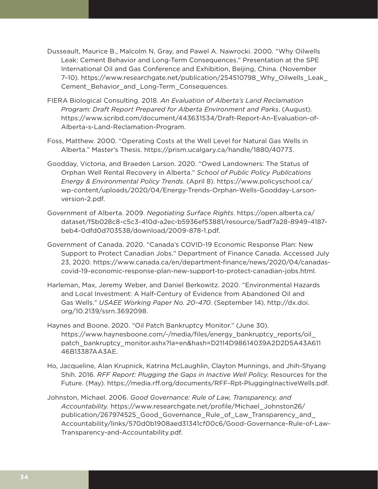- Dusseault, Maurice B., Malcolm N. Gray, and Pawel A. Nawrocki. 2000. "Why Oilwells Leak: Cement Behavior and Long-Term Consequences." Presentation at the SPE International Oil and Gas Conference and Exhibition, Beijing, China. (November 7–10). [https://www.researchgate.net/publication/254510798\\_Why\\_Oilwells\\_Leak\\_](https://www.researchgate.net/publication/254510798_Why_Oilwells_Leak_Cement_Behavior_and_Long-Term_Consequences) [Cement\\_Behavior\\_and\\_Long-Term\\_Consequences](https://www.researchgate.net/publication/254510798_Why_Oilwells_Leak_Cement_Behavior_and_Long-Term_Consequences).
- FIERA Biological Consulting. 2018. *An Evaluation of Alberta's Land Reclamation Program: Draft Report Prepared for Alberta Environment and Parks*. (August). [https://www.scribd.com/document/443631534/Draft-Report-An-Evaluation-of-](https://www.scribd.com/document/443631534/Draft-Report-An-Evaluation-of-Alberta-s-Land-Reclamation-Program)[Alberta-s-Land-Reclamation-Program.](https://www.scribd.com/document/443631534/Draft-Report-An-Evaluation-of-Alberta-s-Land-Reclamation-Program)
- Foss, Matthew. 2000. "Operating Costs at the Well Level for Natural Gas Wells in Alberta." Master's Thesis. [https://prism.ucalgary.ca/handle/1880/40773.](https://prism.ucalgary.ca/handle/1880/40773)
- Goodday, Victoria, and Braeden Larson. 2020. "Owed Landowners: The Status of Orphan Well Rental Recovery in Alberta." *School of Public Policy Publications Energy & Environmental Policy Trends*. (April 8). [https://www.policyschool.ca/](https://www.policyschool.ca/wp-content/uploads/2020/04/Energy-Trends-Orphan-Wells-Goodday-Larson-version-2.pdf) [wp-content/uploads/2020/04/Energy-Trends-Orphan-Wells-Goodday-Larson](https://www.policyschool.ca/wp-content/uploads/2020/04/Energy-Trends-Orphan-Wells-Goodday-Larson-version-2.pdf)[version-2.pdf.](https://www.policyschool.ca/wp-content/uploads/2020/04/Energy-Trends-Orphan-Wells-Goodday-Larson-version-2.pdf)
- Government of Alberta. 2009. *Negotiating Surface Rights*. [https://open.alberta.ca/](https://open.alberta.ca/dataset/f5b028c8-c5c3-410d-a2ec-b5936ef53881/resource/5adf7a28-8949-4187-beb4-0dfd0d703538/download/2009-878-1.pdf) [dataset/f5b028c8-c5c3-410d-a2ec-b5936ef53881/resource/5adf7a28-8949-4187](https://open.alberta.ca/dataset/f5b028c8-c5c3-410d-a2ec-b5936ef53881/resource/5adf7a28-8949-4187-beb4-0dfd0d703538/download/2009-878-1.pdf) [beb4-0dfd0d703538/download/2009-878-1.pdf](https://open.alberta.ca/dataset/f5b028c8-c5c3-410d-a2ec-b5936ef53881/resource/5adf7a28-8949-4187-beb4-0dfd0d703538/download/2009-878-1.pdf).
- Government of Canada. 2020. "Canada's COVID-19 Economic Response Plan: New Support to Protect Canadian Jobs." Department of Finance Canada. Accessed July 23, 2020. [https://www.canada.ca/en/department-finance/news/2020/04/canadas](https://www.canada.ca/en/department-finance/news/2020/04/canadas-covid-19-economic-response-plan-new-support-to-protect-canadian-jobs.html)[covid-19-economic-response-plan-new-support-to-protect-canadian-jobs.html](https://www.canada.ca/en/department-finance/news/2020/04/canadas-covid-19-economic-response-plan-new-support-to-protect-canadian-jobs.html).
- Harleman, Max, Jeremy Weber, and Daniel Berkowitz. 2020. "Environmental Hazards and Local Investment: A Half-Century of Evidence from Abandoned Oil and Gas Wells." *USAEE Working Paper No. 20-470*. (September 14). http://dx.doi. org/10.2139/ssrn.3692098.
- Haynes and Boone. 2020. "Oil Patch Bankruptcy Monitor." (June 30). https://www.haynesboone.com/-/media/files/energy\_bankruptcy\_reports/oil\_ patch\_bankruptcy\_monitor.ashx?la=en&hash=D2114D98614039A2D2D5A43A611 46B13387AA3AE.
- Ho, Jacqueline, Alan Krupnick, Katrina McLaughlin, Clayton Munnings, and Jhih-Shyang Shih. 2016. *RFF Report: Plugging the Gaps in Inactive Well Policy.* Resources for the Future. (May). <https://media.rff.org/documents/RFF-Rpt-PluggingInactiveWells.pdf>.
- Johnston, Michael. 2006. *Good Governance: Rule of Law, Transparency, and Accountability.* [https://www.researchgate.net/profile/Michael\\_Johnston26/](https://www.researchgate.net/profile/Michael_Johnston26/publication/267974525_Good_Governance_Rule_of_Law_Transparency_and_Accountability/links/570d0b1908aed31341cf00c6/Good-Governance-Rule-of-Law-Transparency-and-Accountability.pdf) [publication/267974525\\_Good\\_Governance\\_Rule\\_of\\_Law\\_Transparency\\_and\\_](https://www.researchgate.net/profile/Michael_Johnston26/publication/267974525_Good_Governance_Rule_of_Law_Transparency_and_Accountability/links/570d0b1908aed31341cf00c6/Good-Governance-Rule-of-Law-Transparency-and-Accountability.pdf) [Accountability/links/570d0b1908aed31341cf00c6/Good-Governance-Rule-of-Law-](https://www.researchgate.net/profile/Michael_Johnston26/publication/267974525_Good_Governance_Rule_of_Law_Transparency_and_Accountability/links/570d0b1908aed31341cf00c6/Good-Governance-Rule-of-Law-Transparency-and-Accountability.pdf)[Transparency-and-Accountability.pdf](https://www.researchgate.net/profile/Michael_Johnston26/publication/267974525_Good_Governance_Rule_of_Law_Transparency_and_Accountability/links/570d0b1908aed31341cf00c6/Good-Governance-Rule-of-Law-Transparency-and-Accountability.pdf).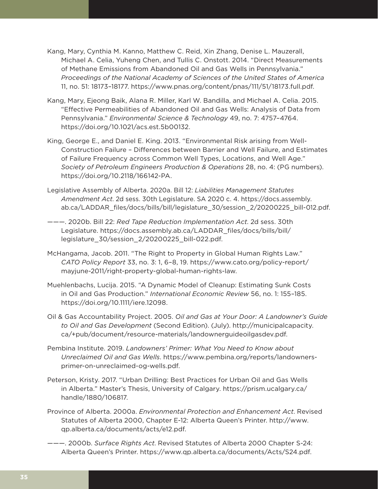- Kang, Mary, Cynthia M. Kanno, Matthew C. Reid, Xin Zhang, Denise L. Mauzerall, Michael A. Celia, Yuheng Chen, and Tullis C. Onstott. 2014. "Direct Measurements of Methane Emissions from Abandoned Oil and Gas Wells in Pennsylvania." *Proceedings of the National Academy of Sciences of the United States of America*  11, no. 51: 18173–18177. [https://www.pnas.org/content/pnas/111/51/18173.full.pdf.](https://www.pnas.org/content/pnas/111/51/18173.full.pdf)
- Kang, Mary, Ejeong Baik, Alana R. Miller, Karl W. Bandilla, and Michael A. Celia. 2015. "Effective Permeabilities of Abandoned Oil and Gas Wells: Analysis of Data from Pennsylvania." *Environmental Science & Technology* 49, no. 7: 4757–4764. [https://doi.org/10.1021/acs.est.5b00132.](https://doi.org/10.1021/acs.est.5b00132)
- King, George E., and Daniel E. King. 2013. "Environmental Risk arising from Well-Construction Failure – Differences between Barrier and Well Failure, and Estimates of Failure Frequency across Common Well Types, Locations, and Well Age." *Society of Petroleum Engineers Production & Operations* 28, no. 4: (PG numbers). <https://doi.org/10.2118/166142-PA>.
- Legislative Assembly of Alberta. 2020a. Bill 12: *Liabilities Management Statutes Amendment Act*. 2d sess. 30th Legislature. SA 2020 c. 4. [https://docs.assembly.](https://docs.assembly.ab.ca/LADDAR_files/docs/bills/bill/legislature_30/session_2/20200225_bill-012.pdf) [ab.ca/LADDAR\\_files/docs/bills/bill/legislature\\_30/session\\_2/20200225\\_bill-012.pdf.](https://docs.assembly.ab.ca/LADDAR_files/docs/bills/bill/legislature_30/session_2/20200225_bill-012.pdf)
- ———. 2020b. Bill 22: *Red Tape Reduction Implementation Act*. 2d sess. 30th Legislature. [https://docs.assembly.ab.ca/LADDAR\\_files/docs/bills/bill/](https://docs.assembly.ab.ca/LADDAR_files/docs/bills/bill/legislature_30/session_2/20200225_bill-022.pdf) [legislature\\_30/session\\_2/20200225\\_bill-022.pdf](https://docs.assembly.ab.ca/LADDAR_files/docs/bills/bill/legislature_30/session_2/20200225_bill-022.pdf).
- McHangama, Jacob. 2011. "The Right to Property in Global Human Rights Law." *CATO Policy Report* 33, no. 3: 1, 6–8, 19. [https://www.cato.org/policy-report/](https://www.cato.org/policy-report/mayjune-2011/right-property-global-human-rights-law) [mayjune-2011/right-property-global-human-rights-law](https://www.cato.org/policy-report/mayjune-2011/right-property-global-human-rights-law).
- Muehlenbachs, Lucija. 2015. "A Dynamic Model of Cleanup: Estimating Sunk Costs in Oil and Gas Production." *International Economic Review* 56, no. 1: 155–185. <https://doi.org/10.1111/iere.12098>.
- Oil & Gas Accountability Project. 2005. *Oil and Gas at Your Door: A Landowner's Guide to Oil and Gas Development* (Second Edition). (July). [http://municipalcapacity.](http://municipalcapacity.ca/+pub/document/resource-materials/landownerguideoilgasdev.pdf) [ca/+pub/document/resource-materials/landownerguideoilgasdev.pdf](http://municipalcapacity.ca/+pub/document/resource-materials/landownerguideoilgasdev.pdf).
- Pembina Institute. 2019. *Landowners' Primer: What You Need to Know about Unreclaimed Oil and Gas Wells*. [https://www.pembina.org/reports/landowners](https://www.pembina.org/reports/landowners-primer-on-unreclaimed-og-wells.pdf)[primer-on-unreclaimed-og-wells.pdf.](https://www.pembina.org/reports/landowners-primer-on-unreclaimed-og-wells.pdf)
- Peterson, Kristy. 2017. "Urban Drilling: Best Practices for Urban Oil and Gas Wells in Alberta." Master's Thesis, University of Calgary. [https://prism.ucalgary.ca/](https://prism.ucalgary.ca/handle/1880/106817) [handle/1880/106817.](https://prism.ucalgary.ca/handle/1880/106817)
- Province of Alberta. 2000a. *Environmental Protection and Enhancement Act*. Revised Statutes of Alberta 2000, Chapter E-12: Alberta Queen's Printer. [http://www.](http://www.qp.alberta.ca/documents/acts/e12.pdf) [qp.alberta.ca/documents/acts/e12.pdf](http://www.qp.alberta.ca/documents/acts/e12.pdf).
- ———. 2000b. *Surface Rights Act*. Revised Statutes of Alberta 2000 Chapter S-24: Alberta Queen's Printer. <https://www.qp.alberta.ca/documents/Acts/S24.pdf>.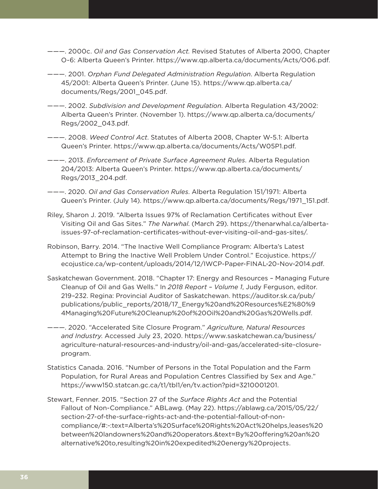- ———. 2000c. *Oil and Gas Conservation Act.* Revised Statutes of Alberta 2000, Chapter O-6: Alberta Queen's Printer.<https://www.qp.alberta.ca/documents/Acts/O06.pdf>.
- ———. 2001. *Orphan Fund Delegated Administration Regulation*. Alberta Regulation 45/2001: Alberta Queen's Printer. (June 15). [https://www.qp.alberta.ca/](https://www.qp.alberta.ca/documents/Regs/2001_045.pdf) [documents/Regs/2001\\_045.pdf](https://www.qp.alberta.ca/documents/Regs/2001_045.pdf).
- ———. 2002. *Subdivision and Development Regulation*. Alberta Regulation 43/2002: Alberta Queen's Printer. (November 1). [https://www.qp.alberta.ca/documents/](https://www.qp.alberta.ca/documents/Regs/2002_043.pdf) [Regs/2002\\_043.pdf.](https://www.qp.alberta.ca/documents/Regs/2002_043.pdf)
- ———. 2008. *Weed Control Act*. Statutes of Alberta 2008, Chapter W-5.1: Alberta Queen's Printer. <https://www.qp.alberta.ca/documents/Acts/W05P1.pdf>.
- ———. 2013. *Enforcement of Private Surface Agreement Rules*. Alberta Regulation 204/2013: Alberta Queen's Printer. [https://www.qp.alberta.ca/documents/](https://www.qp.alberta.ca/documents/Regs/2013_204.pdf) [Regs/2013\\_204.pdf](https://www.qp.alberta.ca/documents/Regs/2013_204.pdf).
- ———. 2020. *Oil and Gas Conservation Rules*. Alberta Regulation 151/1971: Alberta Queen's Printer. (July 14). [https://www.qp.alberta.ca/documents/Regs/1971\\_151.pdf](https://www.qp.alberta.ca/documents/Regs/1971_151.pdf).
- Riley, Sharon J. 2019. "Alberta Issues 97% of Reclamation Certificates without Ever Visiting Oil and Gas Sites." *The Narwhal*. (March 29). [https://thenarwhal.ca/alberta](https://thenarwhal.ca/alberta-issues-97-of-reclamation-certificates-without-ever-visiting-oil-and-gas-sites/)[issues-97-of-reclamation-certificates-without-ever-visiting-oil-and-gas-sites/](https://thenarwhal.ca/alberta-issues-97-of-reclamation-certificates-without-ever-visiting-oil-and-gas-sites/).
- Robinson, Barry. 2014. "The Inactive Well Compliance Program: Alberta's Latest Attempt to Bring the Inactive Well Problem Under Control." Ecojustice. [https://](https://ecojustice.ca/wp-content/uploads/2014/12/IWCP-Paper-FINAL-20-Nov-2014.pdf) [ecojustice.ca/wp-content/uploads/2014/12/IWCP-Paper-FINAL-20-Nov-2014.pdf](https://ecojustice.ca/wp-content/uploads/2014/12/IWCP-Paper-FINAL-20-Nov-2014.pdf).
- Saskatchewan Government. 2018. "Chapter 17: Energy and Resources Managing Future Cleanup of Oil and Gas Wells." In *2018 Report – Volume 1*, Judy Ferguson, editor. 219–232. Regina: Provincial Auditor of Saskatchewan. [https://auditor.sk.ca/pub/](https://auditor.sk.ca/pub/publications/public_reports/2018/17_Energy%20and%20Resources%E2%80%94Managing%20Future%20Cleanup%20of%20Oil%20and%20Gas%20Wells.pdf) [publications/public\\_reports/2018/17\\_Energy%20and%20Resources%E2%80%9](https://auditor.sk.ca/pub/publications/public_reports/2018/17_Energy%20and%20Resources%E2%80%94Managing%20Future%20Cleanup%20of%20Oil%20and%20Gas%20Wells.pdf) [4Managing%20Future%20Cleanup%20of%20Oil%20and%20Gas%20Wells.pdf.](https://auditor.sk.ca/pub/publications/public_reports/2018/17_Energy%20and%20Resources%E2%80%94Managing%20Future%20Cleanup%20of%20Oil%20and%20Gas%20Wells.pdf)
- ———. 2020. "Accelerated Site Closure Program." *Agriculture, Natural Resources and Industry*. Accessed July 23, 2020. [https://www.saskatchewan.ca/business/](https://www.saskatchewan.ca/business/agriculture-natural-resources-and-industry/oil-and-gas/accelerated-site-closure-program) [agriculture-natural-resources-and-industry/oil-and-gas/accelerated-site-closure](https://www.saskatchewan.ca/business/agriculture-natural-resources-and-industry/oil-and-gas/accelerated-site-closure-program)[program.](https://www.saskatchewan.ca/business/agriculture-natural-resources-and-industry/oil-and-gas/accelerated-site-closure-program)
- Statistics Canada. 2016. "Number of Persons in the Total Population and the Farm Population, for Rural Areas and Population Centres Classified by Sex and Age." <https://www150.statcan.gc.ca/t1/tbl1/en/tv.action?pid=3210001201>.
- Stewart, Fenner. 2015. "Section 27 of the *Surface Rights Act* and the Potential Fallout of Non-Compliance." ABLawg. (May 22). https://ablawg.ca/2015/05/22/ section-27-of-the-surface-rights-act-and-the-potential-fallout-of-noncompliance/#:~:text=Alberta's%20Surface%20Rights%20Act%20helps,leases%20 between%20landowners%20and%20operators.&text=By%20offering%20an%20 alternative%20to,resulting%20in%20expedited%20energy%20projects.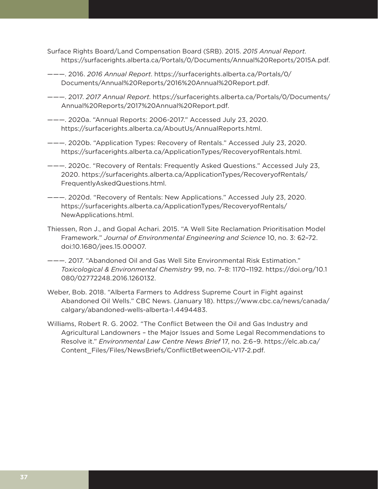- Surface Rights Board/Land Compensation Board (SRB). 2015. *2015 Annual Report*. <https://surfacerights.alberta.ca/Portals/0/Documents/Annual%20Reports/2015A.pdf>.
- ———. 2016. *2016 Annual Report*. [https://surfacerights.alberta.ca/Portals/0/](https://surfacerights.alberta.ca/Portals/0/Documents/Annual%20Reports/2016%20Annual%20Report.pdf) [Documents/Annual%20Reports/2016%20Annual%20Report.pdf.](https://surfacerights.alberta.ca/Portals/0/Documents/Annual%20Reports/2016%20Annual%20Report.pdf)
- ———. 2017. *2017 Annual Report*. [https://surfacerights.alberta.ca/Portals/0/Documents/](https://surfacerights.alberta.ca/Portals/0/Documents/Annual%20Reports/2017%20Annual%20Report.pdf) [Annual%20Reports/2017%20Annual%20Report.pdf.](https://surfacerights.alberta.ca/Portals/0/Documents/Annual%20Reports/2017%20Annual%20Report.pdf)
- ———. 2020a. "Annual Reports: 2006-2017." Accessed July 23, 2020. [https://surfacerights.alberta.ca/AboutUs/AnnualReports.html.](https://surfacerights.alberta.ca/AboutUs/AnnualReports.html)
- ———. 2020b. "Application Types: Recovery of Rentals." Accessed July 23, 2020. <https://surfacerights.alberta.ca/ApplicationTypes/RecoveryofRentals.html>.
- ———. 2020c. "Recovery of Rentals: Frequently Asked Questions." Accessed July 23, 2020. [https://surfacerights.alberta.ca/ApplicationTypes/RecoveryofRentals/](https://surfacerights.alberta.ca/ApplicationTypes/RecoveryofRentals/FrequentlyAskedQuestions.html) [FrequentlyAskedQuestions.html](https://surfacerights.alberta.ca/ApplicationTypes/RecoveryofRentals/FrequentlyAskedQuestions.html).
- ———. 2020d. "Recovery of Rentals: New Applications." Accessed July 23, 2020. [https://surfacerights.alberta.ca/ApplicationTypes/RecoveryofRentals/](https://surfacerights.alberta.ca/ApplicationTypes/RecoveryofRentals/NewApplications.html) [NewApplications.html](https://surfacerights.alberta.ca/ApplicationTypes/RecoveryofRentals/NewApplications.html).
- Thiessen, Ron J., and Gopal Achari. 2015. "A Well Site Reclamation Prioritisation Model Framework." *Journal of Environmental Engineering and Science* 10, no. 3: 62–72. doi:10.1680/jees.15.00007.
- ———. 2017. "Abandoned Oil and Gas Well Site Environmental Risk Estimation." *Toxicological & Environmental Chemistry* 99, no. 7–8: 1170–1192. [https://doi.org/10.1](https://doi.org/10.1080/02772248.2016.1260132) [080/02772248.2016.1260132](https://doi.org/10.1080/02772248.2016.1260132).
- Weber, Bob. 2018. "Alberta Farmers to Address Supreme Court in Fight against Abandoned Oil Wells." CBC News. (January 18). [https://www.cbc.ca/news/canada/](https://www.cbc.ca/news/canada/calgary/abandoned-wells-alberta-1.4494483) [calgary/abandoned-wells-alberta-1.4494483](https://www.cbc.ca/news/canada/calgary/abandoned-wells-alberta-1.4494483).
- Williams, Robert R. G. 2002. "The Conflict Between the Oil and Gas Industry and Agricultural Landowners – the Major Issues and Some Legal Recommendations to Resolve it." *Environmental Law Centre News Brief* 17, no. 2:6–9. [https://elc.ab.ca/](https://elc.ab.ca/Content_Files/Files/NewsBriefs/ConflictBetweenOiL-V17-2.pdf) [Content\\_Files/Files/NewsBriefs/ConflictBetweenOiL-V17-2.pdf.](https://elc.ab.ca/Content_Files/Files/NewsBriefs/ConflictBetweenOiL-V17-2.pdf)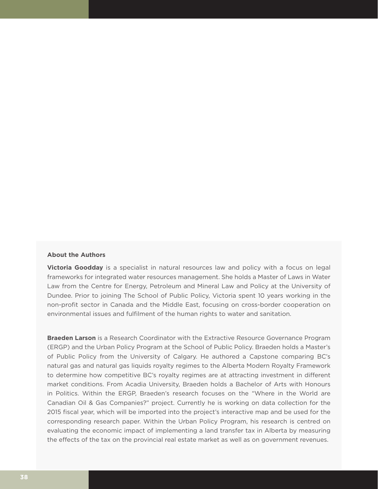### **About the Authors**

**Victoria Goodday** is a specialist in natural resources law and policy with a focus on legal frameworks for integrated water resources management. She holds a Master of Laws in Water Law from the Centre for Energy, Petroleum and Mineral Law and Policy at the University of Dundee. Prior to joining The School of Public Policy, Victoria spent 10 years working in the non-profit sector in Canada and the Middle East, focusing on cross-border cooperation on environmental issues and fulfilment of the human rights to water and sanitation.

**Braeden Larson** is a Research Coordinator with the Extractive Resource Governance Program (ERGP) and the Urban Policy Program at the School of Public Policy. Braeden holds a Master's of Public Policy from the University of Calgary. He authored a Capstone comparing BC's natural gas and natural gas liquids royalty regimes to the Alberta Modern Royalty Framework to determine how competitive BC's royalty regimes are at attracting investment in different market conditions. From Acadia University, Braeden holds a Bachelor of Arts with Honours in Politics. Within the ERGP, Braeden's research focuses on the "Where in the World are Canadian Oil & Gas Companies?" project. Currently he is working on data collection for the 2015 fiscal year, which will be imported into the project's interactive map and be used for the corresponding research paper. Within the Urban Policy Program, his research is centred on evaluating the economic impact of implementing a land transfer tax in Alberta by measuring the effects of the tax on the provincial real estate market as well as on government revenues.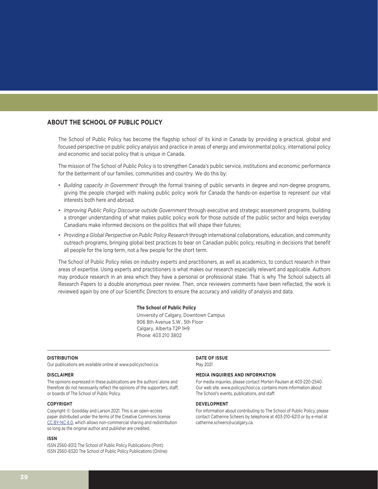### **ABOUT THE SCHOOL OF PUBLIC POLICY**

The School of Public Policy has become the flagship school of its kind in Canada by providing a practical, global and focused perspective on public policy analysis and practice in areas of energy and environmental policy, international policy and economic and social policy that is unique in Canada.

The mission of The School of Public Policy is to strengthen Canada's public service, institutions and economic performance for the betterment of our families, communities and country. We do this by:

- *Building capacity in Government* through the formal training of public servants in degree and non-degree programs, giving the people charged with making public policy work for Canada the hands-on expertise to represent our vital interests both here and abroad;
- *Improving Public Policy Discourse outside Government* through executive and strategic assessment programs, building a stronger understanding of what makes public policy work for those outside of the public sector and helps everyday Canadians make informed decisions on the politics that will shape their futures;
- *Providing a Global Perspective on Public Policy Research* through international collaborations, education, and community outreach programs, bringing global best practices to bear on Canadian public policy, resulting in decisions that benefit all people for the long term, not a few people for the short term.

The School of Public Policy relies on industry experts and practitioners, as well as academics, to conduct research in their areas of expertise. Using experts and practitioners is what makes our research especially relevant and applicable. Authors may produce research in an area which they have a personal or professional stake. That is why The School subjects all Research Papers to a double anonymous peer review. Then, once reviewers comments have been reflected, the work is reviewed again by one of our Scientific Directors to ensure the accuracy and validity of analysis and data.

#### **The School of Public Policy**

University of Calgary, Downtown Campus 906 8th Avenue S.W., 5th Floor Calgary, Alberta T2P 1H9 Phone: 403 210 3802

#### **DISTRIBUTION**

Our publications are available online at www.policyschool.ca.

#### **DISCLAIMER**

The opinions expressed in these publications are the authors' alone and therefore do not necessarily reflect the opinions of the supporters, staff, or boards of The School of Public Policy.

#### **COPYRIGHT**

Copyright © Goodday and Larson 2021. This is an open-access paper distributed under the terms of the Creative Commons license [CC BY-NC 4.0](https://creativecommons.org/licenses/by-nc/4.0/), which allows non-commercial sharing and redistribution so long as the original author and publisher are credited.

#### **ISSN**

ISSN 2560-8312 The School of Public Policy Publications (Print) ISSN 2560-8320 The School of Public Policy Publications (Online) **DATE OF ISSUE** May 2021

#### **MEDIA INQUIRIES AND INFORMATION**

For media inquiries, please contact Morten Paulsen at 403-220-2540. Our web site, www.policyschool.ca, contains more information about The School's events, publications, and staff.

### **DEVELOPMENT**

For information about contributing to The School of Public Policy, please contact Catherine Scheers by telephone at 403-210-6213 or by e-mail at catherine.scheers@ucalgary.ca.